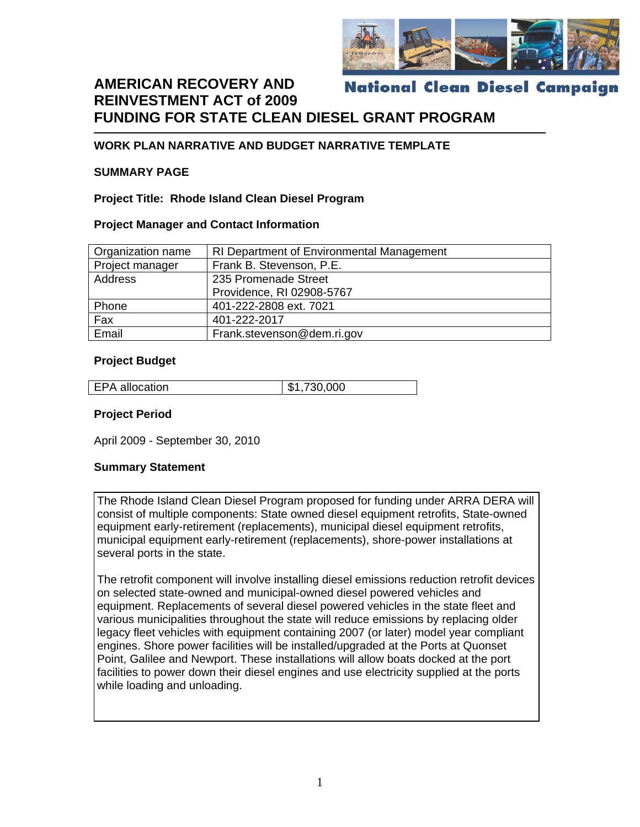

#### **AMERICAN RECOVERY AND National Clean Diesel Campaign REINVESTMENT ACT of 2009 FUNDING FOR STATE CLEAN DIESEL GRANT PROGRAM**

#### **WORK PLAN NARRATIVE AND BUDGET NARRATIVE TEMPLATE**

#### **SUMMARY PAGE**

**Project Title: Rhode Island Clean Diesel Program** 

#### **Project Manager and Contact Information**

| Organization name                           | RI Department of Environmental Management |  |  |
|---------------------------------------------|-------------------------------------------|--|--|
| Project manager<br>Frank B. Stevenson, P.E. |                                           |  |  |
| Address                                     | 235 Promenade Street                      |  |  |
|                                             | Providence, RI 02908-5767                 |  |  |
| Phone                                       | 401-222-2808 ext. 7021                    |  |  |
| Fax                                         | 401-222-2017                              |  |  |
| Email                                       | Frank.stevenson@dem.ri.gov                |  |  |

#### **Project Budget**

| <b>EPA</b> allocation | \$1,730,000 |
|-----------------------|-------------|

#### **Project Period**

April 2009 - September 30, 2010

#### **Summary Statement**

The Rhode Island Clean Diesel Program proposed for funding under ARRA DERA will consist of multiple components: State owned diesel equipment retrofits, State-owned equipment early-retirement (replacements), municipal diesel equipment retrofits, municipal equipment early-retirement (replacements), shore-power installations at several ports in the state.

The retrofit component will involve installing diesel emissions reduction retrofit devices on selected state-owned and municipal-owned diesel powered vehicles and equipment. Replacements of several diesel powered vehicles in the state fleet and various municipalities throughout the state will reduce emissions by replacing older legacy fleet vehicles with equipment containing 2007 (or later) model year compliant engines. Shore power facilities will be installed/upgraded at the Ports at Quonset Point, Galilee and Newport. These installations will allow boats docked at the port facilities to power down their diesel engines and use electricity supplied at the ports while loading and unloading.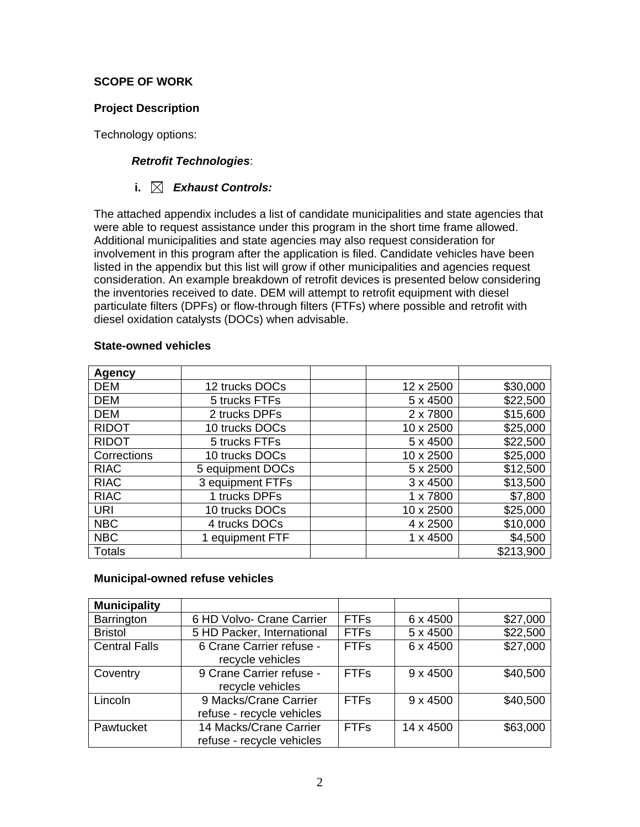#### **SCOPE OF WORK**

#### **Project Description**

Technology options:

#### *Retrofit Technologies*:

#### **i.** *Exhaust Controls:*

The attached appendix includes a list of candidate municipalities and state agencies that were able to request assistance under this program in the short time frame allowed. Additional municipalities and state agencies may also request consideration for involvement in this program after the application is filed. Candidate vehicles have been listed in the appendix but this list will grow if other municipalities and agencies request consideration. An example breakdown of retrofit devices is presented below considering the inventories received to date. DEM will attempt to retrofit equipment with diesel particulate filters (DPFs) or flow-through filters (FTFs) where possible and retrofit with diesel oxidation catalysts (DOCs) when advisable.

| <b>Agency</b> |                  |                 |           |
|---------------|------------------|-----------------|-----------|
| <b>DEM</b>    | 12 trucks DOCs   | 12 x 2500       | \$30,000  |
| <b>DEM</b>    | 5 trucks FTFs    | 5 x 4500        | \$22,500  |
| <b>DEM</b>    | 2 trucks DPFs    | 2 x 7800        | \$15,600  |
| <b>RIDOT</b>  | 10 trucks DOCs   | 10 x 2500       | \$25,000  |
| <b>RIDOT</b>  | 5 trucks FTFs    | 5 x 4500        | \$22,500  |
| Corrections   | 10 trucks DOCs   | 10 x 2500       | \$25,000  |
| <b>RIAC</b>   | 5 equipment DOCs | 5 x 2500        | \$12,500  |
| <b>RIAC</b>   | 3 equipment FTFs | $3 \times 4500$ | \$13,500  |
| <b>RIAC</b>   | 1 trucks DPFs    | 1 x 7800        | \$7,800   |
| <b>URI</b>    | 10 trucks DOCs   | 10 x 2500       | \$25,000  |
| <b>NBC</b>    | 4 trucks DOCs    | 4 x 2500        | \$10,000  |
| <b>NBC</b>    | 1 equipment FTF  | $1 \times 4500$ | \$4,500   |
| Totals        |                  |                 | \$213,900 |

#### **State-owned vehicles**

#### **Municipal-owned refuse vehicles**

| <b>Municipality</b>  |                                                     |             |                 |          |
|----------------------|-----------------------------------------------------|-------------|-----------------|----------|
| Barrington           | 6 HD Volvo- Crane Carrier                           | <b>FTFs</b> | 6 x 4500        | \$27,000 |
| <b>Bristol</b>       | 5 HD Packer, International                          | <b>FTFs</b> | 5 x 4500        | \$22,500 |
| <b>Central Falls</b> | 6 Crane Carrier refuse -<br>recycle vehicles        | <b>FTFs</b> | 6 x 4500        | \$27,000 |
| Coventry             | 9 Crane Carrier refuse -<br>recycle vehicles        | <b>FTFs</b> | $9 \times 4500$ | \$40,500 |
| Lincoln              | 9 Macks/Crane Carrier<br>refuse - recycle vehicles  | <b>FTFs</b> | $9 \times 4500$ | \$40,500 |
| Pawtucket            | 14 Macks/Crane Carrier<br>refuse - recycle vehicles | <b>FTFs</b> | 14 x 4500       | \$63,000 |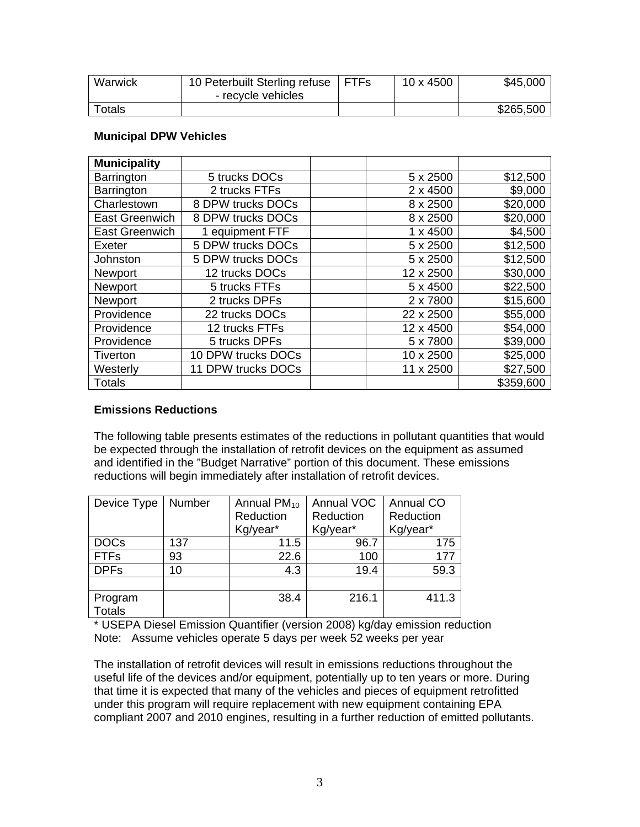| Warwick | 10 Peterbuilt Sterling refuse | <b>FTFs</b> | 10 x 4500 | \$45,000  |
|---------|-------------------------------|-------------|-----------|-----------|
|         | - recycle vehicles            |             |           |           |
| Totals  |                               |             |           | \$265,500 |

#### **Municipal DPW Vehicles**

| <b>Municipality</b>   |                    |                 |           |
|-----------------------|--------------------|-----------------|-----------|
| Barrington            | 5 trucks DOCs      | 5 x 2500        | \$12,500  |
| Barrington            | 2 trucks FTFs      | 2 x 4500        | \$9,000   |
| Charlestown           | 8 DPW trucks DOCs  | 8 x 2500        | \$20,000  |
| <b>East Greenwich</b> | 8 DPW trucks DOCs  | 8 x 2500        | \$20,000  |
| <b>East Greenwich</b> | 1 equipment FTF    | $1 \times 4500$ | \$4,500   |
| Exeter                | 5 DPW trucks DOCs  | 5 x 2500        | \$12,500  |
| Johnston              | 5 DPW trucks DOCs  | 5 x 2500        | \$12,500  |
| <b>Newport</b>        | 12 trucks DOCs     | 12 x 2500       | \$30,000  |
| Newport               | 5 trucks FTFs      | 5 x 4500        | \$22,500  |
| Newport               | 2 trucks DPFs      | 2 x 7800        | \$15,600  |
| Providence            | 22 trucks DOCs     | 22 x 2500       | \$55,000  |
| Providence            | 12 trucks FTFs     | 12 x 4500       | \$54,000  |
| Providence            | 5 trucks DPFs      | 5 x 7800        | \$39,000  |
| Tiverton              | 10 DPW trucks DOCs | 10 x 2500       | \$25,000  |
| Westerly              | 11 DPW trucks DOCs | 11 x 2500       | \$27,500  |
| <b>Totals</b>         |                    |                 | \$359,600 |

#### **Emissions Reductions**

The following table presents estimates of the reductions in pollutant quantities that would be expected through the installation of retrofit devices on the equipment as assumed and identified in the "Budget Narrative" portion of this document. These emissions reductions will begin immediately after installation of retrofit devices.

| Device Type   | Number | Annual $PM_{10}$ | <b>Annual VOC</b> | Annual CO |
|---------------|--------|------------------|-------------------|-----------|
|               |        | Reduction        | Reduction         | Reduction |
|               |        | Kg/year*         | Kg/year*          | Kg/year*  |
| <b>DOCs</b>   | 137    | 11.5             | 96.7              | 175       |
| <b>FTFs</b>   | 93     | 22.6             | 100               | 177       |
| <b>DPFs</b>   | 10     | 4.3              | 19.4              | 59.3      |
|               |        |                  |                   |           |
| Program       |        | 38.4             | 216.1             | 411.3     |
| <b>Totals</b> |        |                  |                   |           |

\* USEPA Diesel Emission Quantifier (version 2008) kg/day emission reduction Note: Assume vehicles operate 5 days per week 52 weeks per year

The installation of retrofit devices will result in emissions reductions throughout the useful life of the devices and/or equipment, potentially up to ten years or more. During that time it is expected that many of the vehicles and pieces of equipment retrofitted under this program will require replacement with new equipment containing EPA compliant 2007 and 2010 engines, resulting in a further reduction of emitted pollutants.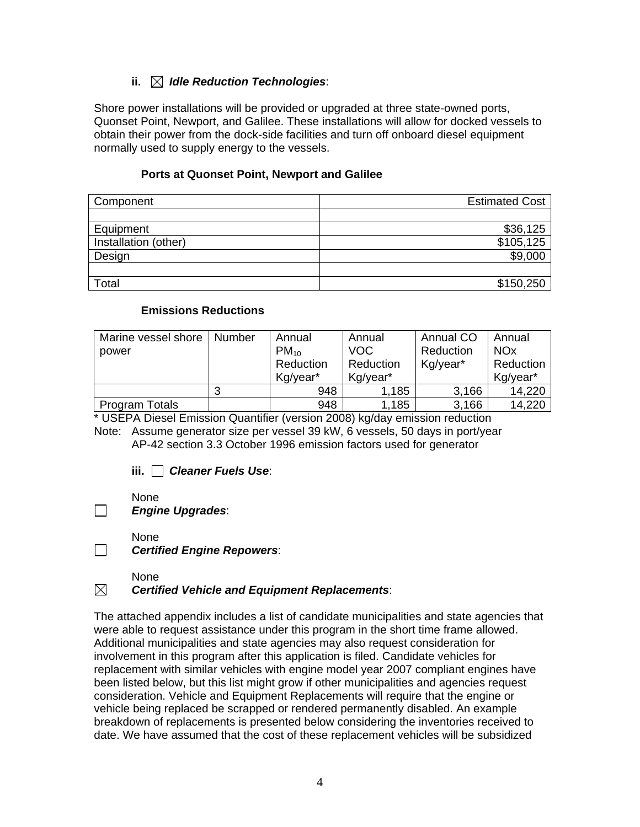# **ii.** *Idle Reduction Technologies*:

Shore power installations will be provided or upgraded at three state-owned ports, Quonset Point, Newport, and Galilee. These installations will allow for docked vessels to obtain their power from the dock-side facilities and turn off onboard diesel equipment normally used to supply energy to the vessels.

#### **Ports at Quonset Point, Newport and Galilee**

| Component            | <b>Estimated Cost</b> |
|----------------------|-----------------------|
|                      |                       |
| Equipment            | \$36,125              |
| Installation (other) | \$105,125             |
| Design               | \$9,000               |
|                      |                       |
| Total                | \$150,250             |

#### **Emissions Reductions**

| Marine vessel shore   | Number | Annual    | Annual     | <b>Annual CO</b> | Annual                |
|-----------------------|--------|-----------|------------|------------------|-----------------------|
| power                 |        | $PM_{10}$ | <b>VOC</b> | Reduction        | <b>NO<sub>x</sub></b> |
|                       |        | Reduction | Reduction  | Kg/year*         | Reduction             |
|                       |        | Kg/year*  | Kg/year*   |                  | Kg/year*              |
|                       | 3      | 948       | 1,185      | 3,166            | 14,220                |
| <b>Program Totals</b> |        | 948       | 1,185      | 3,166            | 14,220                |

\* USEPA Diesel Emission Quantifier (version 2008) kg/day emission reduction

Note: Assume generator size per vessel 39 kW, 6 vessels, 50 days in port/year AP-42 section 3.3 October 1996 emission factors used for generator

**iii.** *Cleaner Fuels Use*:

None

 $\Box$ 

 $\Box$ 

## *Engine Upgrades*:

None

*Certified Engine Repowers*:

#### None<br>N**Certif** *Certified Vehicle and Equipment Replacements*:

The attached appendix includes a list of candidate municipalities and state agencies that were able to request assistance under this program in the short time frame allowed. Additional municipalities and state agencies may also request consideration for involvement in this program after this application is filed. Candidate vehicles for replacement with similar vehicles with engine model year 2007 compliant engines have been listed below, but this list might grow if other municipalities and agencies request consideration. Vehicle and Equipment Replacements will require that the engine or vehicle being replaced be scrapped or rendered permanently disabled. An example breakdown of replacements is presented below considering the inventories received to date. We have assumed that the cost of these replacement vehicles will be subsidized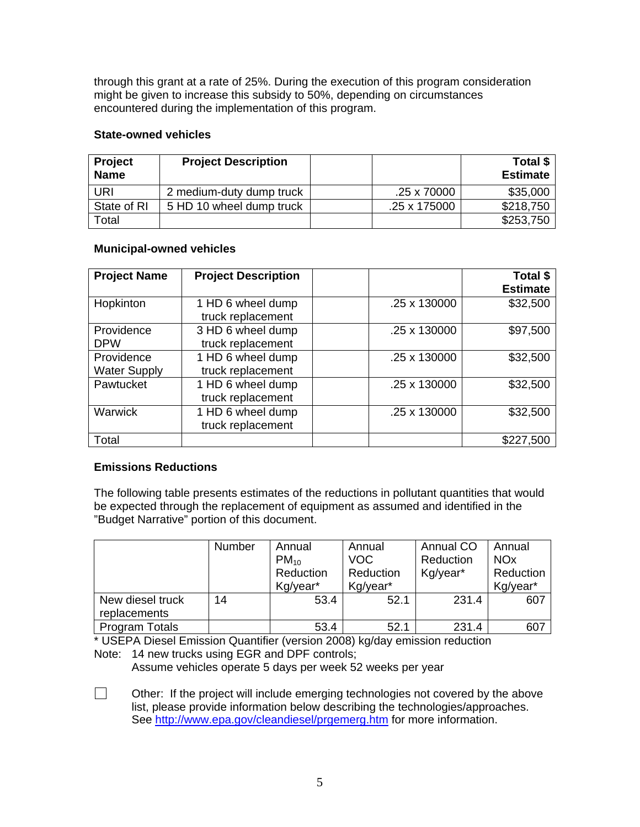through this grant at a rate of 25%. During the execution of this program consideration might be given to increase this subsidy to 50%, depending on circumstances encountered during the implementation of this program.

#### **State-owned vehicles**

| Project<br><b>Name</b> | <b>Project Description</b> |              | Total \$<br><b>Estimate</b> |
|------------------------|----------------------------|--------------|-----------------------------|
| URI                    | 2 medium-duty dump truck   | .25 x 70000  | \$35,000                    |
| State of RI            | 5 HD 10 wheel dump truck   | .25 x 175000 | \$218,750                   |
| Total                  |                            |              | \$253,750                   |

## **Municipal-owned vehicles**

| <b>Project Name</b>               | <b>Project Description</b>             |              | Total \$<br><b>Estimate</b> |
|-----------------------------------|----------------------------------------|--------------|-----------------------------|
| Hopkinton                         | 1 HD 6 wheel dump<br>truck replacement | .25 x 130000 | \$32,500                    |
| Providence<br><b>DPW</b>          | 3 HD 6 wheel dump<br>truck replacement | .25 x 130000 | \$97,500                    |
| Providence<br><b>Water Supply</b> | 1 HD 6 wheel dump<br>truck replacement | .25 x 130000 | \$32,500                    |
| Pawtucket                         | 1 HD 6 wheel dump<br>truck replacement | .25 x 130000 | \$32,500                    |
| <b>Warwick</b>                    | 1 HD 6 wheel dump<br>truck replacement | .25 x 130000 | \$32,500                    |
| Total                             |                                        |              | \$227,500                   |

## **Emissions Reductions**

The following table presents estimates of the reductions in pollutant quantities that would be expected through the replacement of equipment as assumed and identified in the "Budget Narrative" portion of this document.

|                                  | Number | Annual<br>$PM_{10}$<br>Reduction<br>Kg/year* | Annual<br><b>VOC</b><br>Reduction<br>Kg/year* | <b>Annual CO</b><br>Reduction<br>Kg/year* | Annual<br><b>NO<sub>x</sub></b><br>Reduction<br>Kg/year* |
|----------------------------------|--------|----------------------------------------------|-----------------------------------------------|-------------------------------------------|----------------------------------------------------------|
| New diesel truck<br>replacements | 14     | 53.4                                         | 52.1                                          | 231.4                                     | 607                                                      |
| Program Totals                   |        | 53.4                                         | 52.1                                          | 231.4                                     | 607                                                      |

\* USEPA Diesel Emission Quantifier (version 2008) kg/day emission reduction Note: 14 new trucks using EGR and DPF controls;

Assume vehicles operate 5 days per week 52 weeks per year

 $\Box$  Other: If the project will include emerging technologies not covered by the above list, please provide information below describing the technologies/approaches. See <http://www.epa.gov/cleandiesel/prgemerg.htm>for more information.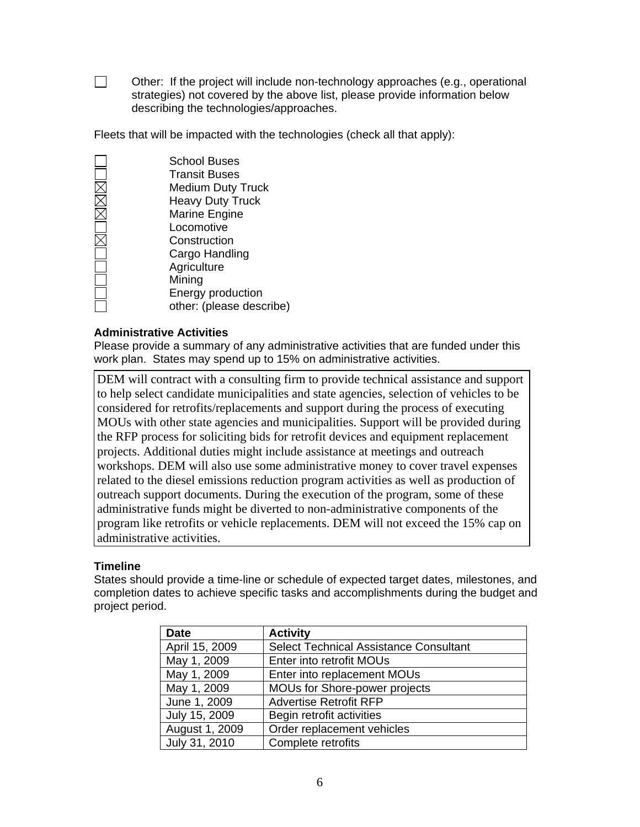$\Box$  Other: If the project will include non-technology approaches (e.g., operational strategies) not covered by the above list, please provide information below describing the technologies/approaches.

Fleets that will be impacted with the technologies (check all that apply):

| <b>School Buses</b>      |
|--------------------------|
| <b>Transit Buses</b>     |
| <b>Medium Duty Truck</b> |
| <b>Heavy Duty Truck</b>  |
| Marine Engine            |
| Locomotive               |
| Construction             |
| Cargo Handling           |
| Agriculture              |
| Mining                   |
| Energy production        |
| other: (please describe) |

#### **Administrative Activities**

Please provide a summary of any administrative activities that are funded under this work plan. States may spend up to 15% on administrative activities.

DEM will contract with a consulting firm to provide technical assistance and support to help select candidate municipalities and state agencies, selection of vehicles to be considered for retrofits/replacements and support during the process of executing MOUs with other state agencies and municipalities. Support will be provided during the RFP process for soliciting bids for retrofit devices and equipment replacement projects. Additional duties might include assistance at meetings and outreach workshops. DEM will also use some administrative money to cover travel expenses related to the diesel emissions reduction program activities as well as production of outreach support documents. During the execution of the program, some of these administrative funds might be diverted to non-administrative components of the program like retrofits or vehicle replacements. DEM will not exceed the 15% cap on administrative activities.

#### **Timeline**

States should provide a time-line or schedule of expected target dates, milestones, and completion dates to achieve specific tasks and accomplishments during the budget and project period.

| <b>Date</b>    | <b>Activity</b>                               |
|----------------|-----------------------------------------------|
| April 15, 2009 | <b>Select Technical Assistance Consultant</b> |
| May 1, 2009    | Enter into retrofit MOUs                      |
| May 1, 2009    | Enter into replacement MOUs                   |
| May 1, 2009    | MOUs for Shore-power projects                 |
| June 1, 2009   | <b>Advertise Retrofit RFP</b>                 |
| July 15, 2009  | Begin retrofit activities                     |
| August 1, 2009 | Order replacement vehicles                    |
| July 31, 2010  | Complete retrofits                            |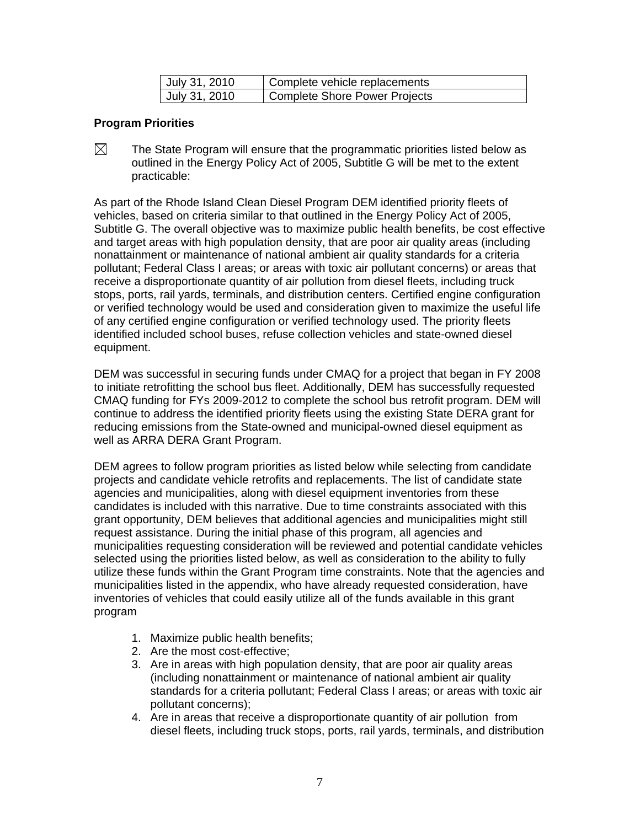| July 31, 2010 | Complete vehicle replacements |
|---------------|-------------------------------|
| July 31, 2010 | Complete Shore Power Projects |

#### **Program Priorities**

 $\boxtimes$  The State Program will ensure that the programmatic priorities listed below as outlined in the Energy Policy Act of 2005, Subtitle G will be met to the extent practicable:

As part of the Rhode Island Clean Diesel Program DEM identified priority fleets of vehicles, based on criteria similar to that outlined in the Energy Policy Act of 2005, Subtitle G. The overall objective was to maximize public health benefits, be cost effective and target areas with high population density, that are poor air quality areas (including nonattainment or maintenance of national ambient air quality standards for a criteria pollutant; Federal Class I areas; or areas with toxic air pollutant concerns) or areas that receive a disproportionate quantity of air pollution from diesel fleets, including truck stops, ports, rail yards, terminals, and distribution centers. Certified engine configuration or verified technology would be used and consideration given to maximize the useful life of any certified engine configuration or verified technology used. The priority fleets identified included school buses, refuse collection vehicles and state-owned diesel equipment.

DEM was successful in securing funds under CMAQ for a project that began in FY 2008 to initiate retrofitting the school bus fleet. Additionally, DEM has successfully requested CMAQ funding for FYs 2009-2012 to complete the school bus retrofit program. DEM will continue to address the identified priority fleets using the existing State DERA grant for reducing emissions from the State-owned and municipal-owned diesel equipment as well as ARRA DERA Grant Program.

DEM agrees to follow program priorities as listed below while selecting from candidate projects and candidate vehicle retrofits and replacements. The list of candidate state agencies and municipalities, along with diesel equipment inventories from these candidates is included with this narrative. Due to time constraints associated with this grant opportunity, DEM believes that additional agencies and municipalities might still request assistance. During the initial phase of this program, all agencies and municipalities requesting consideration will be reviewed and potential candidate vehicles selected using the priorities listed below, as well as consideration to the ability to fully utilize these funds within the Grant Program time constraints. Note that the agencies and municipalities listed in the appendix, who have already requested consideration, have inventories of vehicles that could easily utilize all of the funds available in this grant program

- 1. Maximize public health benefits;
- 2. Are the most cost-effective;
- 3. Are in areas with high population density, that are poor air quality areas (including nonattainment or maintenance of national ambient air quality standards for a criteria pollutant; Federal Class I areas; or areas with toxic air pollutant concerns);
- 4. Are in areas that receive a disproportionate quantity of air pollution from diesel fleets, including truck stops, ports, rail yards, terminals, and distribution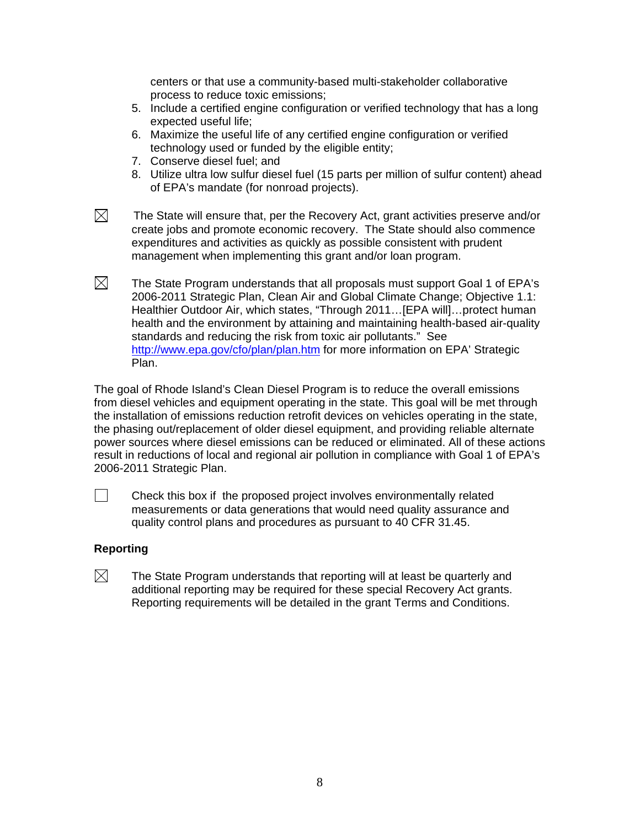centers or that use a community-based multi-stakeholder collaborative process to reduce toxic emissions;

- 5. Include a certified engine configuration or verified technology that has a long expected useful life;
- 6. Maximize the useful life of any certified engine configuration or verified technology used or funded by the eligible entity;
- 7. Conserve diesel fuel; and
- 8. Utilize ultra low sulfur diesel fuel (15 parts per million of sulfur content) ahead of EPA's mandate (for nonroad projects).
- 

 $\boxtimes$  The State will ensure that, per the Recovery Act, grant activities preserve and/or create jobs and promote economic recovery. The State should also commence expenditures and activities as quickly as possible consistent with prudent management when implementing this grant and/or loan program.

 $\boxtimes$ The State Program understands that all proposals must support Goal 1 of EPA's 2006-2011 Strategic Plan, Clean Air and Global Climate Change; Objective 1.1: Healthier Outdoor Air, which states, "Through 2011…[EPA will]…protect human health and the environment by attaining and maintaining health-based air-quality standards and reducing the risk from toxic air pollutants." See <http://www.epa.gov/cfo/plan/plan.htm> for more information on EPA' Strategic Plan.

The goal of Rhode Island's Clean Diesel Program is to reduce the overall emissions from diesel vehicles and equipment operating in the state. This goal will be met through the installation of emissions reduction retrofit devices on vehicles operating in the state, the phasing out/replacement of older diesel equipment, and providing reliable alternate power sources where diesel emissions can be reduced or eliminated. All of these actions result in reductions of local and regional air pollution in compliance with Goal 1 of EPA's 2006-2011 Strategic Plan.

 $\Box$  Check this box if the proposed project involves environmentally related measurements or data generations that would need quality assurance and quality control plans and procedures as pursuant to 40 CFR 31.45.

#### **Reporting**

 $\boxtimes$ The State Program understands that reporting will at least be quarterly and additional reporting may be required for these special Recovery Act grants. Reporting requirements will be detailed in the grant Terms and Conditions.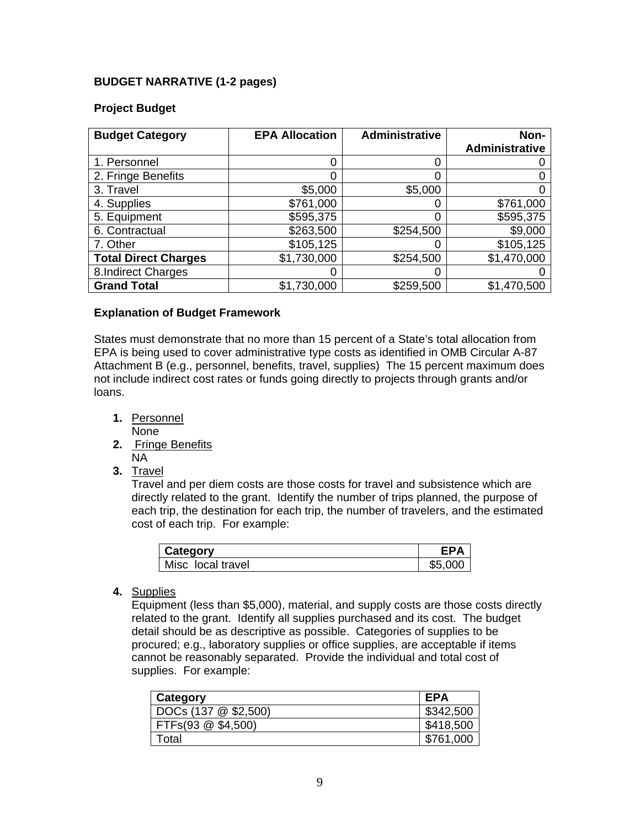#### **BUDGET NARRATIVE (1-2 pages)**

#### **Project Budget**

| <b>Budget Category</b>      | <b>EPA Allocation</b> | <b>Administrative</b> | Non-<br><b>Administrative</b> |
|-----------------------------|-----------------------|-----------------------|-------------------------------|
| 1. Personnel                |                       |                       |                               |
| 2. Fringe Benefits          |                       | 0                     |                               |
| 3. Travel                   | \$5,000               | \$5,000               |                               |
| 4. Supplies                 | \$761,000             |                       | \$761,000                     |
| 5. Equipment                | \$595,375             | 0                     | \$595,375                     |
| 6. Contractual              | \$263,500             | \$254,500             | \$9,000                       |
| 7. Other                    | \$105,125             |                       | \$105,125                     |
| <b>Total Direct Charges</b> | \$1,730,000           | \$254,500             | \$1,470,000                   |
| 8. Indirect Charges         |                       |                       |                               |
| <b>Grand Total</b>          | \$1,730,000           | \$259,500             | \$1,470,500                   |

#### **Explanation of Budget Framework**

States must demonstrate that no more than 15 percent of a State's total allocation from EPA is being used to cover administrative type costs as identified in OMB Circular A-87 Attachment B (e.g., personnel, benefits, travel, supplies) The 15 percent maximum does not include indirect cost rates or funds going directly to projects through grants and/or loans.

- **1.** Personnel None
- **2.** Fringe Benefits NA
- **3.** Travel

Travel and per diem costs are those costs for travel and subsistence which are directly related to the grant. Identify the number of trips planned, the purpose of each trip, the destination for each trip, the number of travelers, and the estimated cost of each trip. For example:

| Category          | FΡA     |
|-------------------|---------|
| Misc local travel | \$5.000 |

**4.** Supplies

Equipment (less than \$5,000), material, and supply costs are those costs directly related to the grant. Identify all supplies purchased and its cost. The budget detail should be as descriptive as possible. Categories of supplies to be procured; e.g., laboratory supplies or office supplies, are acceptable if items cannot be reasonably separated. Provide the individual and total cost of supplies. For example:

| Category             | EPA       |
|----------------------|-----------|
| DOCs (137 @ \$2,500) | \$342,500 |
| FTFs(93 @ \$4,500)   | \$418,500 |
| Total                | \$761,000 |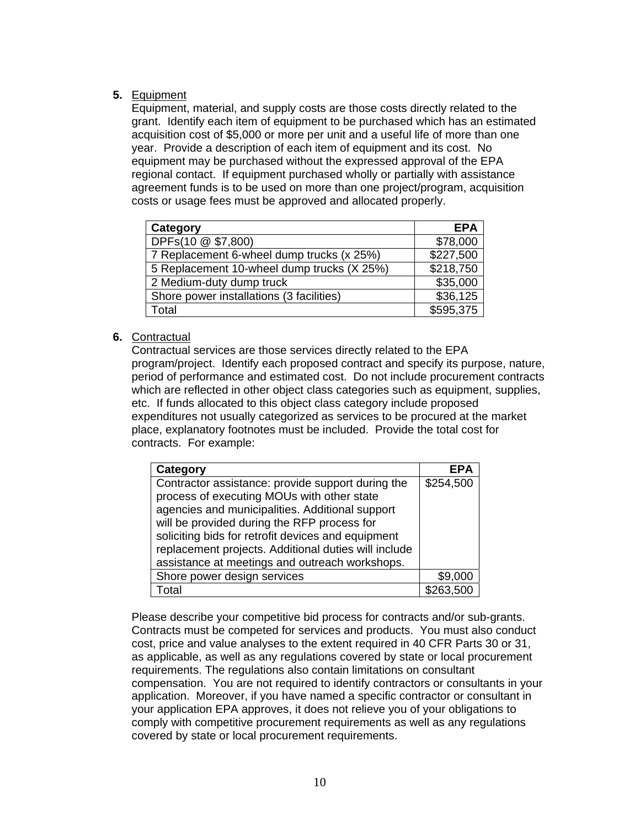#### **5.** Equipment

Equipment, material, and supply costs are those costs directly related to the grant. Identify each item of equipment to be purchased which has an estimated acquisition cost of \$5,000 or more per unit and a useful life of more than one year. Provide a description of each item of equipment and its cost. No equipment may be purchased without the expressed approval of the EPA regional contact. If equipment purchased wholly or partially with assistance agreement funds is to be used on more than one project/program, acquisition costs or usage fees must be approved and allocated properly.

| Category                                   | <b>EPA</b> |
|--------------------------------------------|------------|
| DPFs(10 @ \$7,800)                         | \$78,000   |
| 7 Replacement 6-wheel dump trucks (x 25%)  | \$227,500  |
| 5 Replacement 10-wheel dump trucks (X 25%) | \$218,750  |
| 2 Medium-duty dump truck                   | \$35,000   |
| Shore power installations (3 facilities)   | \$36,125   |
| Total                                      | \$595,375  |

#### **6.** Contractual

Contractual services are those services directly related to the EPA program/project. Identify each proposed contract and specify its purpose, nature, period of performance and estimated cost. Do not include procurement contracts which are reflected in other object class categories such as equipment, supplies, etc. If funds allocated to this object class category include proposed expenditures not usually categorized as services to be procured at the market place, explanatory footnotes must be included. Provide the total cost for contracts. For example:

| Category                                             | EPA       |
|------------------------------------------------------|-----------|
| Contractor assistance: provide support during the    | \$254,500 |
| process of executing MOUs with other state           |           |
| agencies and municipalities. Additional support      |           |
| will be provided during the RFP process for          |           |
| soliciting bids for retrofit devices and equipment   |           |
| replacement projects. Additional duties will include |           |
| assistance at meetings and outreach workshops.       |           |
| Shore power design services                          | \$9,000   |
| Total                                                | \$263.500 |

Please describe your competitive bid process for contracts and/or sub-grants. Contracts must be competed for services and products. You must also conduct cost, price and value analyses to the extent required in 40 CFR Parts 30 or 31, as applicable, as well as any regulations covered by state or local procurement requirements. The regulations also contain limitations on consultant compensation. You are not required to identify contractors or consultants in your application. Moreover, if you have named a specific contractor or consultant in your application EPA approves, it does not relieve you of your obligations to comply with competitive procurement requirements as well as any regulations covered by state or local procurement requirements.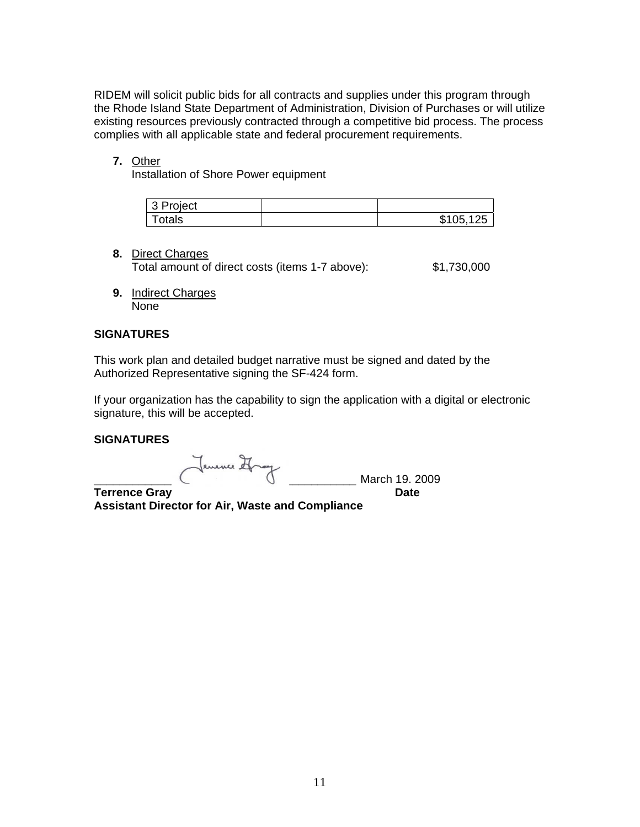RIDEM will solicit public bids for all contracts and supplies under this program through the Rhode Island State Department of Administration, Division of Purchases or will utilize existing resources previously contracted through a competitive bid process. The process complies with all applicable state and federal procurement requirements.

#### **7.** Other

Installation of Shore Power equipment

| Project<br>$\sim$<br>. J I |        |
|----------------------------|--------|
| otals                      | А<br>ı |

#### **8.** Direct Charges

Total amount of direct costs (items 1-7 above): \$1,730,000

**9.** Indirect Charges None

#### **SIGNATURES**

This work plan and detailed budget narrative must be signed and dated by the Authorized Representative signing the SF-424 form.

If your organization has the capability to sign the application with a digital or electronic signature, this will be accepted.

#### **SIGNATURES**

\_\_\_\_\_\_\_\_\_\_\_\_\_\_\_\_\_\_\_\_\_\_\_\_\_\_\_\_\_\_\_\_\_\_\_\_\_\_\_\_\_ March 19. 2009

**Terrence Gray Contract Contract Contract Contract Contract Contract Contract Contract Contract Contract Contract Contract Contract Contract Contract Contract Contract Contract Contract Contract Contract Contract Contract Assistant Director for Air, Waste and Compliance**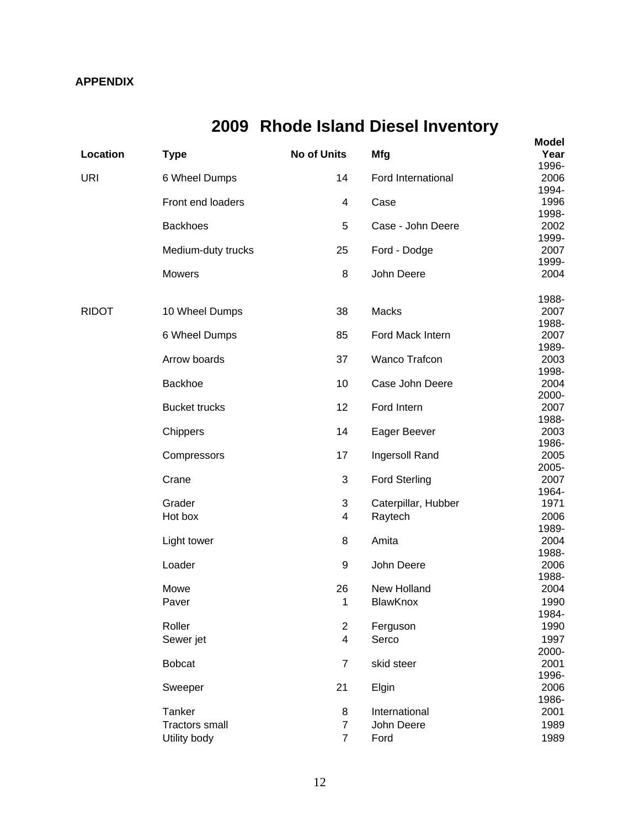## **APPENDIX**

# **2009 Rhode Island Diesel Inventory**

| Location     | <b>Type</b>                     | <b>No of Units</b>  | <b>Mfg</b>           | <b>Model</b><br>Year |
|--------------|---------------------------------|---------------------|----------------------|----------------------|
|              |                                 |                     |                      | 1996-                |
| URI          | 6 Wheel Dumps                   | 14                  | Ford International   | 2006                 |
|              |                                 |                     |                      | 1994-                |
|              | Front end loaders               | 4                   | Case                 | 1996<br>1998-        |
|              | <b>Backhoes</b>                 | 5                   | Case - John Deere    | 2002                 |
|              |                                 |                     |                      | 1999-                |
|              | Medium-duty trucks              | 25                  | Ford - Dodge         | 2007                 |
|              |                                 |                     |                      | 1999-                |
|              | <b>Mowers</b>                   | 8                   | John Deere           | 2004                 |
|              |                                 |                     |                      | 1988-                |
| <b>RIDOT</b> | 10 Wheel Dumps                  | 38                  | Macks                | 2007<br>1988-        |
|              | 6 Wheel Dumps                   | 85                  | Ford Mack Intern     | 2007                 |
|              |                                 |                     |                      | 1989-                |
|              | Arrow boards                    | 37                  | <b>Wanco Trafcon</b> | 2003                 |
|              |                                 |                     |                      | 1998-                |
|              | Backhoe                         | 10                  | Case John Deere      | 2004                 |
|              |                                 |                     |                      | 2000-                |
|              | <b>Bucket trucks</b>            | 12                  | Ford Intern          | 2007<br>1988-        |
|              | Chippers                        | 14                  | Eager Beever         | 2003                 |
|              |                                 |                     |                      | 1986-                |
|              | Compressors                     | 17                  | Ingersoll Rand       | 2005                 |
|              |                                 |                     |                      | 2005-                |
|              | Crane                           | $\sqrt{3}$          | <b>Ford Sterling</b> | 2007                 |
|              | Grader                          |                     |                      | 1964-                |
|              | Hot box                         | 3<br>4              | Caterpillar, Hubber  | 1971<br>2006         |
|              |                                 |                     | Raytech              | 1989-                |
|              | Light tower                     | 8                   | Amita                | 2004                 |
|              |                                 |                     |                      | 1988-                |
|              | Loader                          | 9                   | John Deere           | 2006                 |
|              |                                 |                     |                      | 1988-                |
|              | Mowe                            | 26                  | New Holland          | 2004                 |
|              | Paver                           | 1                   | BlawKnox             | 1990                 |
|              | Roller                          | $\overline{2}$      | Ferguson             | 1984-<br>1990        |
|              | Sewer jet                       | $\overline{4}$      | Serco                | 1997                 |
|              |                                 |                     |                      | 2000-                |
|              | <b>Bobcat</b>                   | $\overline{7}$      | skid steer           | 2001                 |
|              |                                 |                     |                      | 1996-                |
|              | Sweeper                         | 21                  | Elgin                | 2006                 |
|              |                                 |                     |                      | 1986-                |
|              | Tanker<br><b>Tractors small</b> | 8<br>$\overline{7}$ | International        | 2001                 |
|              |                                 |                     | John Deere           | 1989                 |
|              | Utility body                    | $\overline{7}$      | Ford                 | 1989                 |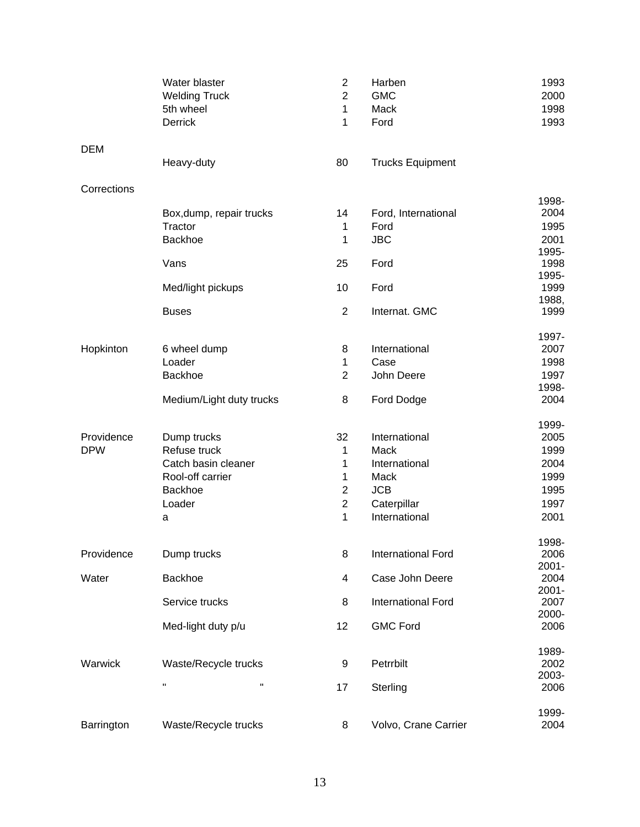|             | Water blaster<br><b>Welding Truck</b><br>5th wheel<br>Derrick | $\boldsymbol{2}$<br>$\overline{2}$<br>$\mathbf 1$<br>$\mathbf{1}$ | Harben<br><b>GMC</b><br>Mack<br>Ford | 1993<br>2000<br>1998<br>1993 |
|-------------|---------------------------------------------------------------|-------------------------------------------------------------------|--------------------------------------|------------------------------|
| <b>DEM</b>  | Heavy-duty                                                    | 80                                                                | <b>Trucks Equipment</b>              |                              |
| Corrections |                                                               |                                                                   |                                      |                              |
|             |                                                               |                                                                   |                                      | 1998-                        |
|             | Box, dump, repair trucks                                      | 14                                                                | Ford, International                  | 2004                         |
|             | Tractor                                                       | $\mathbf 1$                                                       | Ford                                 | 1995                         |
|             | Backhoe                                                       | 1                                                                 | <b>JBC</b>                           | 2001                         |
|             | Vans                                                          | 25                                                                | Ford                                 | 1995-<br>1998                |
|             |                                                               |                                                                   |                                      | 1995-                        |
|             | Med/light pickups                                             | 10                                                                | Ford                                 | 1999                         |
|             |                                                               |                                                                   |                                      | 1988,                        |
|             | <b>Buses</b>                                                  | $\overline{2}$                                                    | Internat. GMC                        | 1999                         |
| Hopkinton   | 6 wheel dump                                                  | 8                                                                 | International                        | 1997-<br>2007                |
|             | Loader                                                        | $\mathbf 1$                                                       | Case                                 | 1998                         |
|             | Backhoe                                                       | $\overline{2}$                                                    | John Deere                           | 1997                         |
|             |                                                               |                                                                   |                                      | 1998-                        |
|             | Medium/Light duty trucks                                      | 8                                                                 | Ford Dodge                           | 2004                         |
|             |                                                               |                                                                   |                                      | 1999-                        |
| Providence  | Dump trucks                                                   | 32                                                                | International                        | 2005                         |
| <b>DPW</b>  | Refuse truck                                                  | 1                                                                 | Mack                                 | 1999                         |
|             | Catch basin cleaner                                           | 1                                                                 | International                        | 2004                         |
|             | Rool-off carrier                                              | 1                                                                 | Mack                                 | 1999                         |
|             | Backhoe                                                       | $\overline{c}$                                                    | <b>JCB</b>                           | 1995                         |
|             | Loader                                                        | $\overline{c}$                                                    | Caterpillar                          | 1997                         |
|             | a                                                             | $\mathbf{1}$                                                      | International                        | 2001                         |
|             |                                                               |                                                                   |                                      | 1998-                        |
| Providence  | Dump trucks                                                   | 8                                                                 | <b>International Ford</b>            | 2006                         |
|             |                                                               |                                                                   |                                      | $2001 -$                     |
| Water       | Backhoe                                                       | 4                                                                 | Case John Deere                      | 2004                         |
|             | Service trucks                                                | 8                                                                 | International Ford                   | $2001 -$<br>2007             |
|             |                                                               |                                                                   |                                      | 2000-                        |
|             | Med-light duty p/u                                            | 12                                                                | <b>GMC Ford</b>                      | 2006                         |
|             |                                                               |                                                                   |                                      | 1989-                        |
| Warwick     | Waste/Recycle trucks                                          | 9                                                                 | Petrrbilt                            | 2002                         |
|             | $\pmb{\mathsf{H}}$<br>$\pmb{\mathsf{H}}$                      |                                                                   |                                      | 2003-                        |
|             |                                                               | 17                                                                | Sterling                             | 2006                         |
|             |                                                               |                                                                   |                                      | 1999-                        |
| Barrington  | Waste/Recycle trucks                                          | 8                                                                 | Volvo, Crane Carrier                 | 2004                         |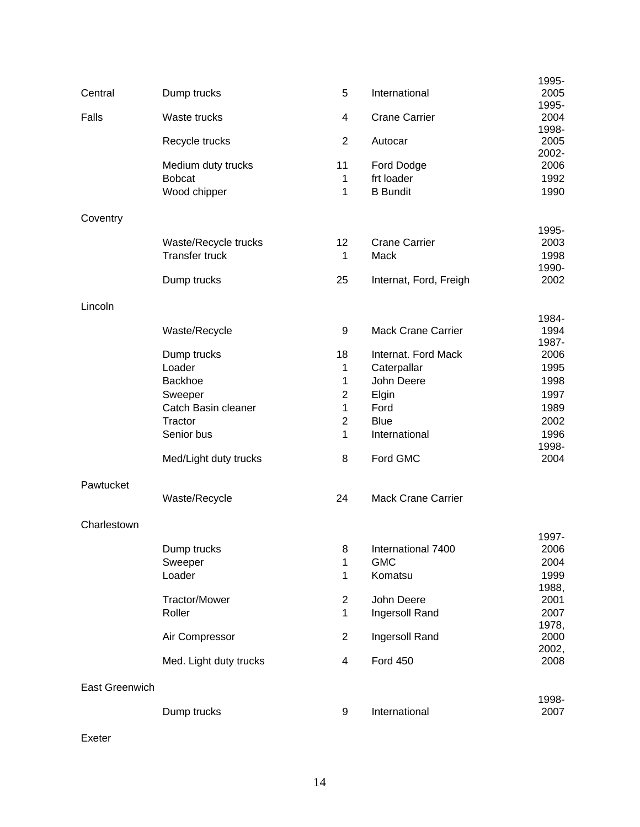| Central        | Dump trucks                                   | 5                 | International                 | 1995-<br>2005          |
|----------------|-----------------------------------------------|-------------------|-------------------------------|------------------------|
| Falls          | Waste trucks                                  | 4                 | <b>Crane Carrier</b>          | 1995-<br>2004          |
|                | Recycle trucks                                | $\overline{2}$    | Autocar                       | 1998-<br>2005<br>2002- |
|                | Medium duty trucks                            | 11                | Ford Dodge                    | 2006                   |
|                | <b>Bobcat</b><br>Wood chipper                 | 1<br>1            | frt loader<br><b>B</b> Bundit | 1992<br>1990           |
| Coventry       |                                               |                   |                               |                        |
|                |                                               |                   |                               | 1995-                  |
|                | Waste/Recycle trucks<br><b>Transfer truck</b> | 12<br>$\mathbf 1$ | <b>Crane Carrier</b><br>Mack  | 2003<br>1998           |
|                |                                               |                   |                               | 1990-                  |
|                | Dump trucks                                   | 25                | Internat, Ford, Freigh        | 2002                   |
| Lincoln        |                                               |                   |                               |                        |
|                | Waste/Recycle                                 | 9                 | <b>Mack Crane Carrier</b>     | 1984-<br>1994          |
|                |                                               |                   |                               | 1987-                  |
|                | Dump trucks                                   | 18                | Internat. Ford Mack           | 2006                   |
|                | Loader                                        | $\mathbf 1$       | Caterpallar                   | 1995                   |
|                | Backhoe                                       | 1                 | John Deere                    | 1998                   |
|                | Sweeper                                       | $\overline{2}$    | Elgin                         | 1997                   |
|                | Catch Basin cleaner                           | 1                 | Ford                          | 1989                   |
|                | Tractor                                       | $\overline{2}$    | <b>Blue</b>                   | 2002                   |
|                | Senior bus                                    | 1                 | International                 | 1996<br>1998-          |
|                | Med/Light duty trucks                         | 8                 | Ford GMC                      | 2004                   |
| Pawtucket      |                                               |                   |                               |                        |
|                | Waste/Recycle                                 | 24                | <b>Mack Crane Carrier</b>     |                        |
| Charlestown    |                                               |                   |                               |                        |
|                | Dump trucks                                   | 8                 | International 7400            | 1997-<br>2006          |
|                | Sweeper                                       | 1                 | <b>GMC</b>                    | 2004                   |
|                | Loader                                        | 1                 | Komatsu                       | 1999                   |
|                |                                               |                   |                               | 1988,                  |
|                | <b>Tractor/Mower</b>                          | $\overline{2}$    | John Deere                    | 2001                   |
|                | Roller                                        | $\mathbf{1}$      | Ingersoll Rand                | 2007                   |
|                | Air Compressor                                | $\boldsymbol{2}$  | Ingersoll Rand                | 1978,<br>2000          |
|                | Med. Light duty trucks                        | 4                 | <b>Ford 450</b>               | 2002,<br>2008          |
| East Greenwich |                                               |                   |                               |                        |
|                |                                               |                   |                               | 1998-                  |
|                | Dump trucks                                   | 9                 | International                 | 2007                   |

Exeter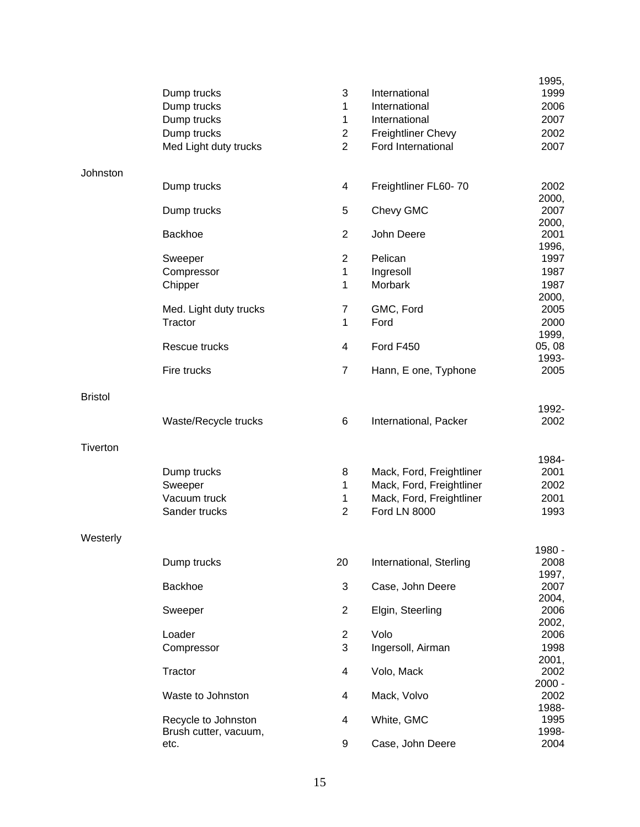|                 |                        |                |                           | 1995,         |
|-----------------|------------------------|----------------|---------------------------|---------------|
|                 | Dump trucks            | 3              | International             | 1999          |
|                 | Dump trucks            | 1              | International             | 2006          |
|                 | Dump trucks            | $\mathbf{1}$   | International             | 2007          |
|                 | Dump trucks            | $\overline{c}$ | <b>Freightliner Chevy</b> | 2002          |
|                 | Med Light duty trucks  | $\overline{2}$ | Ford International        | 2007          |
| Johnston        |                        |                |                           |               |
|                 | Dump trucks            | 4              | Freightliner FL60-70      | 2002<br>2000, |
|                 | Dump trucks            | 5              | Chevy GMC                 | 2007<br>2000, |
|                 | Backhoe                | $\overline{2}$ | John Deere                | 2001<br>1996, |
|                 | Sweeper                | $\overline{c}$ | Pelican                   | 1997          |
|                 | Compressor             | $\mathbf 1$    | Ingresoll                 | 1987          |
|                 | Chipper                | 1              | Morbark                   | 1987          |
|                 |                        |                |                           | 2000,         |
|                 | Med. Light duty trucks | $\overline{7}$ | GMC, Ford                 | 2005          |
|                 | Tractor                | $\mathbf{1}$   | Ford                      | 2000          |
|                 |                        |                |                           | 1999,         |
|                 | Rescue trucks          | 4              | Ford F450                 | 05, 08        |
|                 |                        |                |                           | 1993-         |
|                 | Fire trucks            | $\overline{7}$ | Hann, E one, Typhone      | 2005          |
| <b>Bristol</b>  |                        |                |                           |               |
|                 | Waste/Recycle trucks   | 6              | International, Packer     | 1992-<br>2002 |
| <b>Tiverton</b> |                        |                |                           |               |
|                 |                        |                |                           | 1984-         |
|                 | Dump trucks            | 8              | Mack, Ford, Freightliner  | 2001          |
|                 | Sweeper                | $\mathbf{1}$   | Mack, Ford, Freightliner  | 2002          |
|                 | Vacuum truck           | $\mathbf{1}$   | Mack, Ford, Freightliner  | 2001          |
|                 | Sander trucks          | $\overline{2}$ | <b>Ford LN 8000</b>       | 1993          |
| Westerly        |                        |                |                           |               |
|                 |                        |                |                           | 1980 -        |
|                 | Dump trucks            | 20             | International, Sterling   | 2008          |
|                 | Backhoe                | 3              | Case, John Deere          | 1997,<br>2007 |
|                 |                        |                |                           | 2004,         |
|                 | Sweeper                | $\mathbf{2}$   | Elgin, Steerling          | 2006          |
|                 |                        |                |                           | 2002,         |
|                 | Loader                 | $\overline{2}$ | Volo                      | 2006          |
|                 | Compressor             | 3              | Ingersoll, Airman         | 1998          |
|                 |                        |                |                           | 2001,         |
|                 | Tractor                | 4              | Volo, Mack                | 2002          |
|                 |                        |                |                           | $2000 -$      |
|                 | Waste to Johnston      | 4              | Mack, Volvo               | 2002          |
|                 |                        |                |                           | 1988-         |
|                 | Recycle to Johnston    | 4              | White, GMC                | 1995          |
|                 | Brush cutter, vacuum,  |                |                           | 1998-         |
|                 | etc.                   | 9              | Case, John Deere          | 2004          |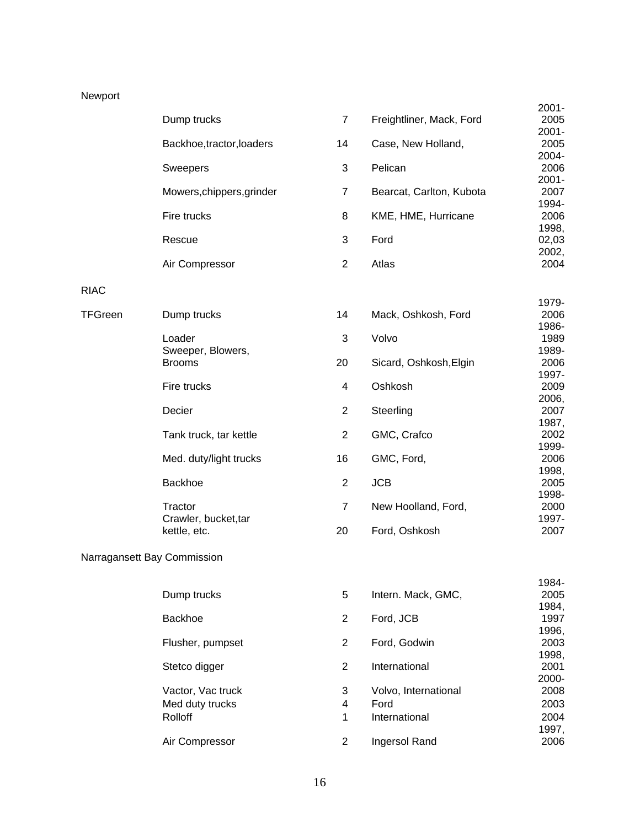## Newport

|                |                                                 |                |                                               | $2001 -$               |
|----------------|-------------------------------------------------|----------------|-----------------------------------------------|------------------------|
|                | Dump trucks                                     | $\overline{7}$ | Freightliner, Mack, Ford                      | 2005<br>$2001 -$       |
|                | Backhoe, tractor, loaders                       | 14             | Case, New Holland,                            | 2005<br>2004-          |
|                | <b>Sweepers</b>                                 | 3              | Pelican                                       | 2006                   |
|                | Mowers, chippers, grinder                       | $\overline{7}$ | Bearcat, Carlton, Kubota                      | $2001 -$<br>2007       |
|                | Fire trucks                                     | 8              | KME, HME, Hurricane                           | 1994-<br>2006          |
|                | Rescue                                          | 3              | Ford                                          | 1998,<br>02,03         |
|                | Air Compressor                                  | $\overline{2}$ | Atlas                                         | 2002,<br>2004          |
| <b>RIAC</b>    |                                                 |                |                                               |                        |
| <b>TFGreen</b> | Dump trucks                                     | 14             | Mack, Oshkosh, Ford                           | 1979-<br>2006          |
|                | Loader                                          | 3              | Volvo                                         | 1986-<br>1989          |
|                | Sweeper, Blowers,<br><b>Brooms</b>              | 20             | Sicard, Oshkosh, Elgin                        | 1989-<br>2006<br>1997- |
|                | Fire trucks                                     | 4              | Oshkosh                                       | 2009<br>2006,          |
|                | Decier                                          | $\overline{2}$ | Steerling                                     | 2007<br>1987,          |
|                | Tank truck, tar kettle                          | 2              | GMC, Crafco                                   | 2002<br>1999-          |
|                | Med. duty/light trucks                          | 16             | GMC, Ford,                                    | 2006                   |
|                | Backhoe                                         | $\overline{2}$ | <b>JCB</b>                                    | 1998,<br>2005          |
|                | Tractor                                         | $\overline{7}$ | New Hoolland, Ford,                           | 1998-<br>2000          |
|                | Crawler, bucket, tar<br>kettle, etc.            | 20             | Ford, Oshkosh                                 | 1997-<br>2007          |
|                | Narragansett Bay Commission                     |                |                                               |                        |
|                |                                                 |                |                                               | 1984-                  |
|                | Dump trucks                                     | 5              | Intern. Mack, GMC,                            | 2005<br>1984,          |
|                | Backhoe                                         | 2              | Ford, JCB                                     | 1997<br>1996,          |
|                | Flusher, pumpset                                | $\overline{2}$ | Ford, Godwin                                  | 2003<br>1998,          |
|                | Stetco digger                                   | 2              | International                                 | 2001<br>2000-          |
|                | Vactor, Vac truck<br>Med duty trucks<br>Rolloff | 3<br>4<br>1    | Volvo, International<br>Ford<br>International | 2008<br>2003<br>2004   |
|                |                                                 |                |                                               | 1997,                  |

2006

Air Compressor 2 Ingersol Rand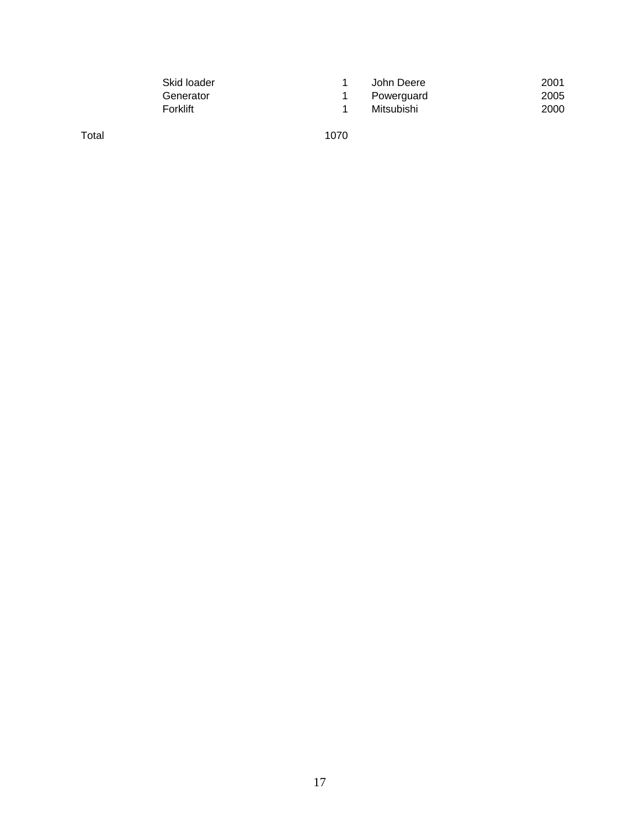| Skid loader | John Deere | 2001 |
|-------------|------------|------|
| Generator   | Powerguard | 2005 |
| Forklift    | Mitsubishi | 2000 |

Total 1070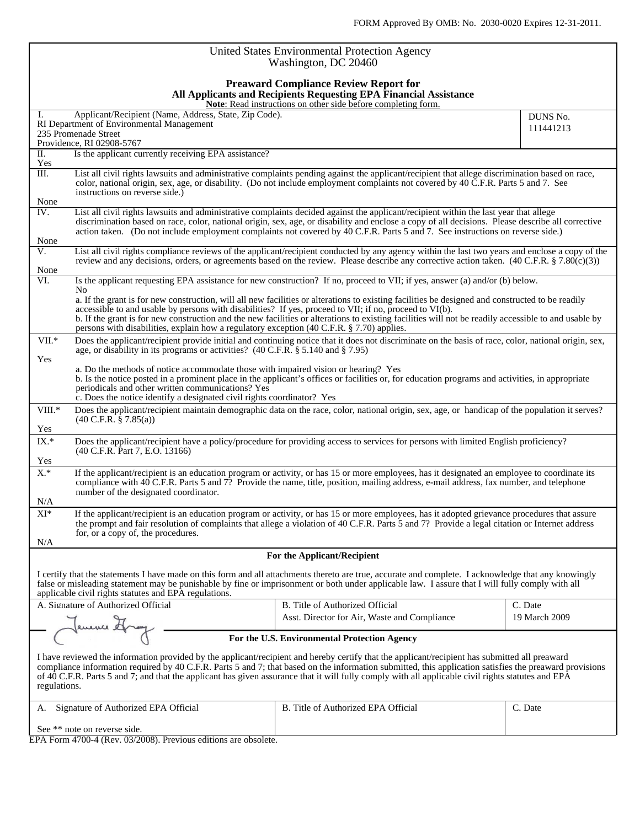| United States Environmental Protection Agency<br>Washington, DC 20460                                                                                                                                                                                                                                                                                                                                                                                                                                                   |                                                                                                                                                                                                                                                                                                                                                                                                                              |                       |  |  |  |  |  |  |  |
|-------------------------------------------------------------------------------------------------------------------------------------------------------------------------------------------------------------------------------------------------------------------------------------------------------------------------------------------------------------------------------------------------------------------------------------------------------------------------------------------------------------------------|------------------------------------------------------------------------------------------------------------------------------------------------------------------------------------------------------------------------------------------------------------------------------------------------------------------------------------------------------------------------------------------------------------------------------|-----------------------|--|--|--|--|--|--|--|
| <b>Preaward Compliance Review Report for</b><br>All Applicants and Recipients Requesting EPA Financial Assistance<br>Note: Read instructions on other side before completing form.                                                                                                                                                                                                                                                                                                                                      |                                                                                                                                                                                                                                                                                                                                                                                                                              |                       |  |  |  |  |  |  |  |
| Applicant/Recipient (Name, Address, State, Zip Code).<br>I.<br>RI Department of Environmental Management<br>235 Promenade Street                                                                                                                                                                                                                                                                                                                                                                                        |                                                                                                                                                                                                                                                                                                                                                                                                                              | DUNS No.<br>111441213 |  |  |  |  |  |  |  |
| Providence, RI 02908-5767<br>Is the applicant currently receiving EPA assistance?<br>$\Pi$ .                                                                                                                                                                                                                                                                                                                                                                                                                            |                                                                                                                                                                                                                                                                                                                                                                                                                              |                       |  |  |  |  |  |  |  |
| Yes                                                                                                                                                                                                                                                                                                                                                                                                                                                                                                                     |                                                                                                                                                                                                                                                                                                                                                                                                                              |                       |  |  |  |  |  |  |  |
| $\overline{\text{III}}$ .<br>instructions on reverse side.)<br>None                                                                                                                                                                                                                                                                                                                                                                                                                                                     | List all civil rights lawsuits and administrative complaints pending against the applicant/recipient that allege discrimination based on race,<br>color, national origin, sex, age, or disability. (Do not include employment complaints not covered by 40 C.F.R. Parts 5 and 7. See                                                                                                                                         |                       |  |  |  |  |  |  |  |
| IV.<br>None                                                                                                                                                                                                                                                                                                                                                                                                                                                                                                             | List all civil rights lawsuits and administrative complaints decided against the applicant/recipient within the last year that allege<br>discrimination based on race, color, national origin, sex, age, or disability and enclose a copy of all decisions. Please describe all corrective<br>action taken. (Do not include employment complaints not covered by 40 C.F.R. Parts 5 and 7. See instructions on reverse side.) |                       |  |  |  |  |  |  |  |
| V.<br>None                                                                                                                                                                                                                                                                                                                                                                                                                                                                                                              | List all civil rights compliance reviews of the applicant/recipient conducted by any agency within the last two years and enclose a copy of the<br>review and any decisions, orders, or agreements based on the review. Please describe any corrective action taken. $(40 \text{ C.F.R.} \$ $(7.80 \text{ (c)}(3))$                                                                                                          |                       |  |  |  |  |  |  |  |
| VI.                                                                                                                                                                                                                                                                                                                                                                                                                                                                                                                     | Is the applicant requesting EPA assistance for new construction? If no, proceed to VII; if yes, answer (a) and/or (b) below.                                                                                                                                                                                                                                                                                                 |                       |  |  |  |  |  |  |  |
| No.<br>a. If the grant is for new construction, will all new facilities or alterations to existing facilities be designed and constructed to be readily<br>accessible to and usable by persons with disabilities? If yes, proceed to VII; if no, proceed to VI(b).<br>b. If the grant is for new construction and the new facilities or alterations to existing facilities will not be readily accessible to and usable by<br>persons with disabilities, explain how a regulatory exception (40 C.F.R. § 7.70) applies. |                                                                                                                                                                                                                                                                                                                                                                                                                              |                       |  |  |  |  |  |  |  |
| VII.*<br>Does the applicant/recipient provide initial and continuing notice that it does not discriminate on the basis of race, color, national origin, sex,<br>age, or disability in its programs or activities? (40 C.F.R. § 5.140 and § 7.95)                                                                                                                                                                                                                                                                        |                                                                                                                                                                                                                                                                                                                                                                                                                              |                       |  |  |  |  |  |  |  |
| Yes<br>a. Do the methods of notice accommodate those with impaired vision or hearing? Yes<br>b. Is the notice posted in a prominent place in the applicant's offices or facilities or, for education programs and activities, in appropriate<br>periodicals and other written communications? Yes<br>c. Does the notice identify a designated civil rights coordinator? Yes                                                                                                                                             |                                                                                                                                                                                                                                                                                                                                                                                                                              |                       |  |  |  |  |  |  |  |
| VIII.*<br>$(40 \text{ C.F.R. } § 7.85(a))$<br>Yes                                                                                                                                                                                                                                                                                                                                                                                                                                                                       | Does the applicant/recipient maintain demographic data on the race, color, national origin, sex, age, or handicap of the population it serves?                                                                                                                                                                                                                                                                               |                       |  |  |  |  |  |  |  |
| IX.*<br>(40 C.F.R. Part 7, E.O. 13166)<br>Yes                                                                                                                                                                                                                                                                                                                                                                                                                                                                           | Does the applicant/recipient have a policy/procedure for providing access to services for persons with limited English proficiency?                                                                                                                                                                                                                                                                                          |                       |  |  |  |  |  |  |  |
| $X^*$<br>number of the designated coordinator.<br>N/A                                                                                                                                                                                                                                                                                                                                                                                                                                                                   | If the applicant/recipient is an education program or activity, or has 15 or more employees, has it designated an employee to coordinate its<br>compliance with 40 C.F.R. Parts 5 and 7? Provide the name, title, position, mailing address, e-mail address, fax number, and telephone                                                                                                                                       |                       |  |  |  |  |  |  |  |
| $\mathbf{XI}^*$<br>for, or a copy of, the procedures.<br>N/A                                                                                                                                                                                                                                                                                                                                                                                                                                                            | If the applicant/recipient is an education program or activity, or has 15 or more employees, has it adopted grievance procedures that assure<br>the prompt and fair resolution of complaints that allege a violation of 40 C.F.R. Parts 5 and 7? Provide a legal citation or Internet address                                                                                                                                |                       |  |  |  |  |  |  |  |
| For the Applicant/Recipient                                                                                                                                                                                                                                                                                                                                                                                                                                                                                             |                                                                                                                                                                                                                                                                                                                                                                                                                              |                       |  |  |  |  |  |  |  |
| I certify that the statements I have made on this form and all attachments thereto are true, accurate and complete. I acknowledge that any knowingly<br>false or misleading statement may be punishable by fine or imprisonment or both under applicable law. I assure that I will fully comply with all<br>applicable civil rights statutes and EPA regulations.                                                                                                                                                       |                                                                                                                                                                                                                                                                                                                                                                                                                              |                       |  |  |  |  |  |  |  |
| A. Signature of Authorized Official                                                                                                                                                                                                                                                                                                                                                                                                                                                                                     | B. Title of Authorized Official                                                                                                                                                                                                                                                                                                                                                                                              | C. Date               |  |  |  |  |  |  |  |
| Jenence Hray                                                                                                                                                                                                                                                                                                                                                                                                                                                                                                            | Asst. Director for Air, Waste and Compliance                                                                                                                                                                                                                                                                                                                                                                                 | 19 March 2009         |  |  |  |  |  |  |  |
|                                                                                                                                                                                                                                                                                                                                                                                                                                                                                                                         | For the U.S. Environmental Protection Agency                                                                                                                                                                                                                                                                                                                                                                                 |                       |  |  |  |  |  |  |  |
| I have reviewed the information provided by the applicant/recipient and hereby certify that the applicant/recipient has submitted all preaward<br>compliance information required by 40 C.F.R. Parts 5 and 7; that based on the information submitted, this application satisfies the preaward provisions<br>of 40 C.F.R. Parts 5 and 7; and that the applicant has given assurance that it will fully comply with all applicable civil rights statutes and EPA<br>regulations.                                         |                                                                                                                                                                                                                                                                                                                                                                                                                              |                       |  |  |  |  |  |  |  |
| Signature of Authorized EPA Official<br>А.                                                                                                                                                                                                                                                                                                                                                                                                                                                                              | B. Title of Authorized EPA Official                                                                                                                                                                                                                                                                                                                                                                                          | C. Date               |  |  |  |  |  |  |  |
| See ** note on reverse side.<br>$EDA$ Form $4700A$ (Boy $03/2008$ ) Brovious oditions are obtained                                                                                                                                                                                                                                                                                                                                                                                                                      |                                                                                                                                                                                                                                                                                                                                                                                                                              |                       |  |  |  |  |  |  |  |

EPA Form 4700-4 (Rev. 03/2008). Previous editions are obsolete.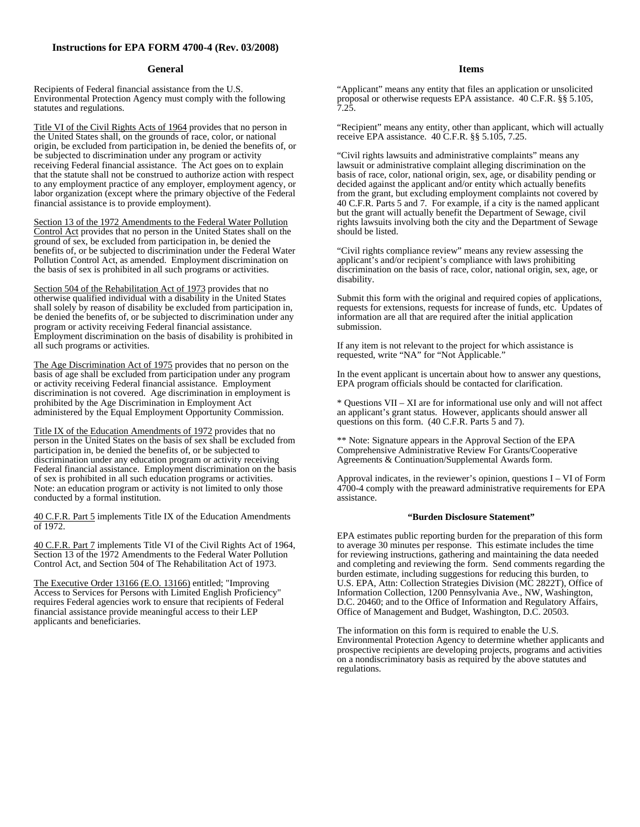#### **Instructions for EPA FORM 4700-4 (Rev. 03/2008)**

#### **General**

Recipients of Federal financial assistance from the U.S. Environmental Protection Agency must comply with the following statutes and regulations.

Title VI of the Civil Rights Acts of 1964 provides that no person in the United States shall, on the grounds of race, color, or national origin, be excluded from participation in, be denied the benefits of, or be subjected to discrimination under any program or activity receiving Federal financial assistance. The Act goes on to explain that the statute shall not be construed to authorize action with respect to any employment practice of any employer, employment agency, or labor organization (except where the primary objective of the Federal financial assistance is to provide employment).

Section 13 of the 1972 Amendments to the Federal Water Pollution Control Act provides that no person in the United States shall on the ground of sex, be excluded from participation in, be denied the benefits of, or be subjected to discrimination under the Federal Water Pollution Control Act, as amended. Employment discrimination on the basis of sex is prohibited in all such programs or activities.

Section 504 of the Rehabilitation Act of 1973 provides that no otherwise qualified individual with a disability in the United States shall solely by reason of disability be excluded from participation in, be denied the benefits of, or be subjected to discrimination under any program or activity receiving Federal financial assistance. Employment discrimination on the basis of disability is prohibited in all such programs or activities.

The Age Discrimination Act of 1975 provides that no person on the basis of age shall be excluded from participation under any program or activity receiving Federal financial assistance. Employment discrimination is not covered. Age discrimination in employment is prohibited by the Age Discrimination in Employment Act administered by the Equal Employment Opportunity Commission.

Title IX of the Education Amendments of 1972 provides that no person in the United States on the basis of sex shall be excluded from participation in, be denied the benefits of, or be subjected to discrimination under any education program or activity receiving Federal financial assistance. Employment discrimination on the basis of sex is prohibited in all such education programs or activities. Note: an education program or activity is not limited to only those conducted by a formal institution.

40 C.F.R. Part 5 implements Title IX of the Education Amendments of 1972.

40 C.F.R. Part 7 implements Title VI of the Civil Rights Act of 1964, Section 13 of the 1972 Amendments to the Federal Water Pollution Control Act, and Section 504 of The Rehabilitation Act of 1973.

The Executive Order 13166 (E.O. 13166) entitled; "Improving Access to Services for Persons with Limited English Proficiency" requires Federal agencies work to ensure that recipients of Federal financial assistance provide meaningful access to their LEP applicants and beneficiaries.

#### **Items**

"Applicant" means any entity that files an application or unsolicited proposal or otherwise requests EPA assistance. 40 C.F.R. §§ 5.105, 7.25.

"Recipient" means any entity, other than applicant, which will actually receive EPA assistance. 40 C.F.R. §§ 5.105, 7.25.

"Civil rights lawsuits and administrative complaints" means any lawsuit or administrative complaint alleging discrimination on the basis of race, color, national origin, sex, age, or disability pending or decided against the applicant and/or entity which actually benefits from the grant, but excluding employment complaints not covered by 40 C.F.R. Parts 5 and 7. For example, if a city is the named applicant but the grant will actually benefit the Department of Sewage, civil rights lawsuits involving both the city and the Department of Sewage should be listed.

"Civil rights compliance review" means any review assessing the applicant's and/or recipient's compliance with laws prohibiting discrimination on the basis of race, color, national origin, sex, age, or disability.

Submit this form with the original and required copies of applications, requests for extensions, requests for increase of funds, etc. Updates of information are all that are required after the initial application submission.

If any item is not relevant to the project for which assistance is requested, write "NA" for "Not Applicable."

In the event applicant is uncertain about how to answer any questions, EPA program officials should be contacted for clarification.

\* Questions VII – XI are for informational use only and will not affect an applicant's grant status. However, applicants should answer all questions on this form. (40 C.F.R. Parts 5 and 7).

\*\* Note: Signature appears in the Approval Section of the EPA Comprehensive Administrative Review For Grants/Cooperative Agreements & Continuation/Supplemental Awards form.

Approval indicates, in the reviewer's opinion, questions I – VI of Form  $4700-4$  comply with the preaward administrative requirements for EPA assistance.

#### **"Burden Disclosure Statement"**

EPA estimates public reporting burden for the preparation of this form to average 30 minutes per response. This estimate includes the time for reviewing instructions, gathering and maintaining the data needed and completing and reviewing the form. Send comments regarding the burden estimate, including suggestions for reducing this burden, to U.S. EPA, Attn: Collection Strategies Division (MC 2822T), Office of Information Collection, 1200 Pennsylvania Ave., NW, Washington, D.C. 20460; and to the Office of Information and Regulatory Affairs, Office of Management and Budget, Washington, D.C. 20503.

The information on this form is required to enable the U.S. Environmental Protection Agency to determine whether applicants and prospective recipients are developing projects, programs and activities on a nondiscriminatory basis as required by the above statutes and regulations.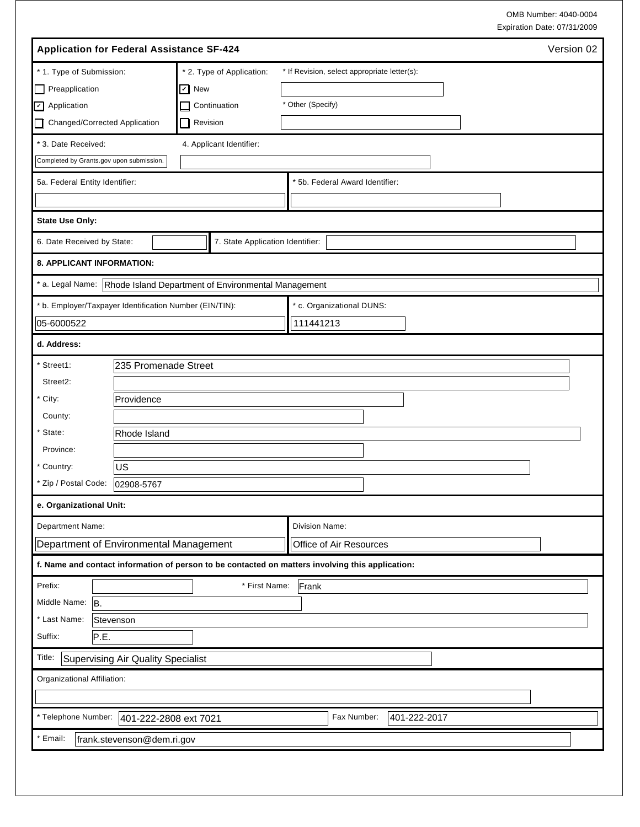OMB Number: 4040-0004 Expiration Date: 07/31/2009

| <b>Application for Federal Assistance SF-424</b>                                                 |                                  | Version 02                                   |  |  |  |  |
|--------------------------------------------------------------------------------------------------|----------------------------------|----------------------------------------------|--|--|--|--|
| * 1. Type of Submission:                                                                         | * 2. Type of Application:        | * If Revision, select appropriate letter(s): |  |  |  |  |
| Preapplication<br>็∐'                                                                            | $\triangledown$ New              |                                              |  |  |  |  |
| D Application                                                                                    | Continuation                     | * Other (Specify)                            |  |  |  |  |
| Changed/Corrected Application<br>l I                                                             | Revision                         |                                              |  |  |  |  |
| * 3. Date Received:                                                                              | 4. Applicant Identifier:         |                                              |  |  |  |  |
| Completed by Grants.gov upon submission.                                                         |                                  |                                              |  |  |  |  |
| 5a. Federal Entity Identifier:                                                                   |                                  | * 5b. Federal Award Identifier:              |  |  |  |  |
|                                                                                                  |                                  |                                              |  |  |  |  |
| State Use Only:                                                                                  |                                  |                                              |  |  |  |  |
| 6. Date Received by State:                                                                       | 7. State Application Identifier: |                                              |  |  |  |  |
| 8. APPLICANT INFORMATION:                                                                        |                                  |                                              |  |  |  |  |
| * a. Legal Name: Rhode Island Department of Environmental Management                             |                                  |                                              |  |  |  |  |
| * b. Employer/Taxpayer Identification Number (EIN/TIN):                                          |                                  | * c. Organizational DUNS:                    |  |  |  |  |
| 05-6000522                                                                                       |                                  | 111441213                                    |  |  |  |  |
| d. Address:                                                                                      |                                  |                                              |  |  |  |  |
| 235 Promenade Street<br>Street1:                                                                 |                                  |                                              |  |  |  |  |
| Street2:                                                                                         |                                  |                                              |  |  |  |  |
| * City:<br>Providence                                                                            |                                  |                                              |  |  |  |  |
| County:                                                                                          |                                  |                                              |  |  |  |  |
| * State:<br>Rhode Island                                                                         |                                  |                                              |  |  |  |  |
| Province:                                                                                        |                                  |                                              |  |  |  |  |
| US<br>* Country:                                                                                 |                                  |                                              |  |  |  |  |
| * Zip / Postal Code:<br>02908-5767                                                               |                                  |                                              |  |  |  |  |
| e. Organizational Unit:                                                                          |                                  |                                              |  |  |  |  |
| Department Name:                                                                                 |                                  | Division Name:                               |  |  |  |  |
| Department of Environmental Management                                                           |                                  | Office of Air Resources                      |  |  |  |  |
| f. Name and contact information of person to be contacted on matters involving this application: |                                  |                                              |  |  |  |  |
| Prefix:                                                                                          | * First Name:                    | Frank                                        |  |  |  |  |
| Middle Name: B.                                                                                  |                                  |                                              |  |  |  |  |
| * Last Name:<br>Stevenson                                                                        |                                  |                                              |  |  |  |  |
| Suffix:<br> P.E.                                                                                 |                                  |                                              |  |  |  |  |
| <b>Supervising Air Quality Specialist</b><br>Title:                                              |                                  |                                              |  |  |  |  |
| Organizational Affiliation:                                                                      |                                  |                                              |  |  |  |  |
|                                                                                                  |                                  |                                              |  |  |  |  |
| 401-222-2017<br>* Telephone Number:<br>Fax Number:<br>401-222-2808 ext 7021                      |                                  |                                              |  |  |  |  |
| Email:<br>frank.stevenson@dem.ri.gov                                                             |                                  |                                              |  |  |  |  |
|                                                                                                  |                                  |                                              |  |  |  |  |
|                                                                                                  |                                  |                                              |  |  |  |  |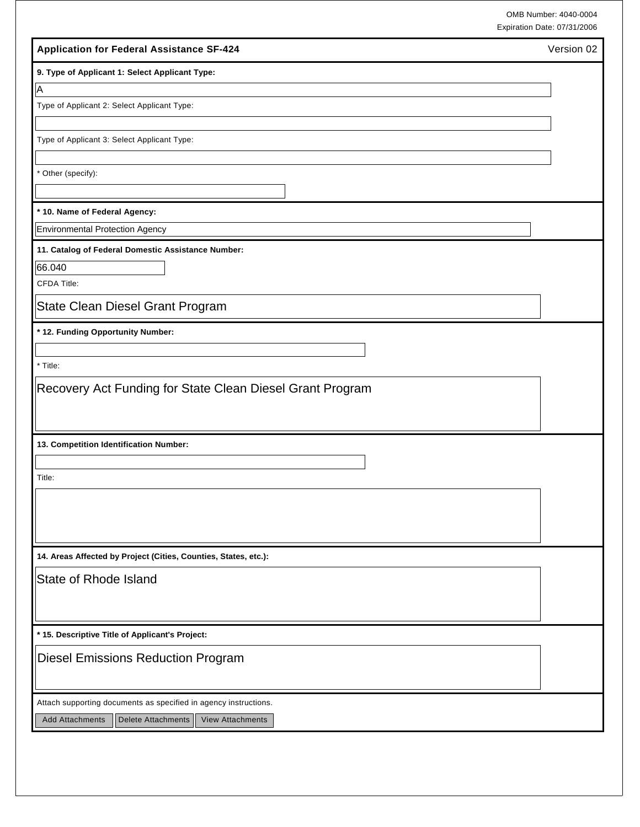| OMB Number: 4040-0004       |
|-----------------------------|
| Expiration Date: 07/31/2006 |

|                                                                                | Expiration Date: 07/31/2006 |
|--------------------------------------------------------------------------------|-----------------------------|
| <b>Application for Federal Assistance SF-424</b>                               | Version 02                  |
| 9. Type of Applicant 1: Select Applicant Type:                                 |                             |
| $\overline{\mathsf{A}}$                                                        |                             |
| Type of Applicant 2: Select Applicant Type:                                    |                             |
|                                                                                |                             |
| Type of Applicant 3: Select Applicant Type:                                    |                             |
| * Other (specify):                                                             |                             |
|                                                                                |                             |
| * 10. Name of Federal Agency:                                                  |                             |
| <b>Environmental Protection Agency</b>                                         |                             |
| 11. Catalog of Federal Domestic Assistance Number:                             |                             |
| 66.040                                                                         |                             |
| <b>CFDA Title:</b>                                                             |                             |
| State Clean Diesel Grant Program                                               |                             |
| * 12. Funding Opportunity Number:                                              |                             |
|                                                                                |                             |
| * Title:                                                                       |                             |
| Recovery Act Funding for State Clean Diesel Grant Program                      |                             |
| 13. Competition Identification Number:                                         |                             |
|                                                                                |                             |
| Title:                                                                         |                             |
|                                                                                |                             |
|                                                                                |                             |
|                                                                                |                             |
| 14. Areas Affected by Project (Cities, Counties, States, etc.):                |                             |
| State of Rhode Island                                                          |                             |
|                                                                                |                             |
|                                                                                |                             |
| * 15. Descriptive Title of Applicant's Project:                                |                             |
| <b>Diesel Emissions Reduction Program</b>                                      |                             |
|                                                                                |                             |
| Attach supporting documents as specified in agency instructions.               |                             |
| <b>Delete Attachments</b><br><b>Add Attachments</b><br><b>View Attachments</b> |                             |
|                                                                                |                             |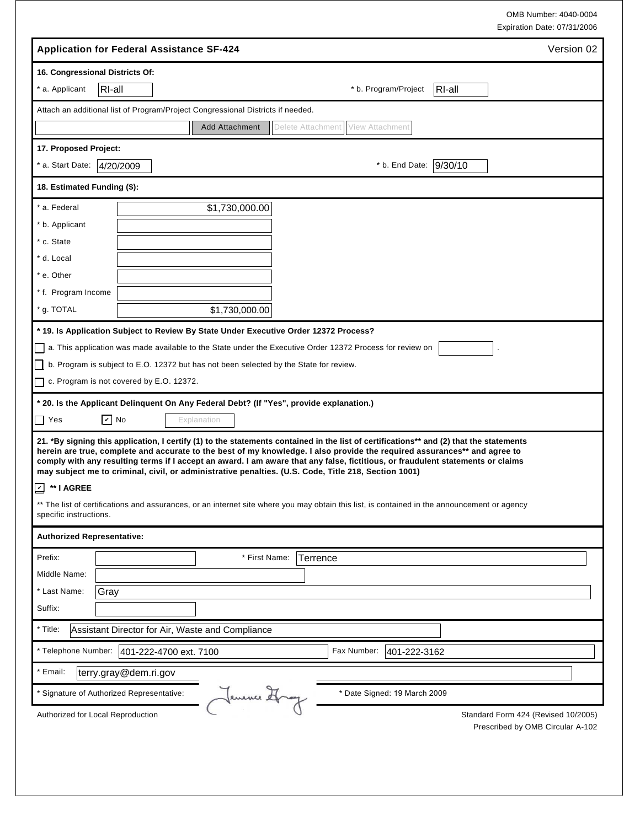OMB Number: 4040-0004 Expiration Date: 07/31/2006

|                                   | <b>Application for Federal Assistance SF-424</b>                                                                                                                                                                                                                                                                                                                                                                                                                                                                |                        |                       |                   |             |                              |        | Version 02                          |
|-----------------------------------|-----------------------------------------------------------------------------------------------------------------------------------------------------------------------------------------------------------------------------------------------------------------------------------------------------------------------------------------------------------------------------------------------------------------------------------------------------------------------------------------------------------------|------------------------|-----------------------|-------------------|-------------|------------------------------|--------|-------------------------------------|
|                                   | 16. Congressional Districts Of:                                                                                                                                                                                                                                                                                                                                                                                                                                                                                 |                        |                       |                   |             |                              |        |                                     |
| * a. Applicant                    | RI-all                                                                                                                                                                                                                                                                                                                                                                                                                                                                                                          |                        |                       |                   |             | * b. Program/Project         | RI-all |                                     |
|                                   | Attach an additional list of Program/Project Congressional Districts if needed.                                                                                                                                                                                                                                                                                                                                                                                                                                 |                        |                       |                   |             |                              |        |                                     |
|                                   |                                                                                                                                                                                                                                                                                                                                                                                                                                                                                                                 |                        | <b>Add Attachment</b> | Delete Attachment |             | View Attachmen               |        |                                     |
| 17. Proposed Project:             |                                                                                                                                                                                                                                                                                                                                                                                                                                                                                                                 |                        |                       |                   |             |                              |        |                                     |
| * a. Start Date:                  | 4/20/2009                                                                                                                                                                                                                                                                                                                                                                                                                                                                                                       |                        |                       |                   |             | * b. End Date: 9/30/10       |        |                                     |
| 18. Estimated Funding (\$):       |                                                                                                                                                                                                                                                                                                                                                                                                                                                                                                                 |                        |                       |                   |             |                              |        |                                     |
| * a. Federal                      |                                                                                                                                                                                                                                                                                                                                                                                                                                                                                                                 |                        | \$1,730,000.00        |                   |             |                              |        |                                     |
| * b. Applicant                    |                                                                                                                                                                                                                                                                                                                                                                                                                                                                                                                 |                        |                       |                   |             |                              |        |                                     |
| * c. State                        |                                                                                                                                                                                                                                                                                                                                                                                                                                                                                                                 |                        |                       |                   |             |                              |        |                                     |
| * d. Local                        |                                                                                                                                                                                                                                                                                                                                                                                                                                                                                                                 |                        |                       |                   |             |                              |        |                                     |
| * e. Other                        |                                                                                                                                                                                                                                                                                                                                                                                                                                                                                                                 |                        |                       |                   |             |                              |        |                                     |
| * f. Program Income               |                                                                                                                                                                                                                                                                                                                                                                                                                                                                                                                 |                        |                       |                   |             |                              |        |                                     |
| * g. TOTAL                        |                                                                                                                                                                                                                                                                                                                                                                                                                                                                                                                 |                        | \$1,730,000.00        |                   |             |                              |        |                                     |
|                                   | * 19. Is Application Subject to Review By State Under Executive Order 12372 Process?                                                                                                                                                                                                                                                                                                                                                                                                                            |                        |                       |                   |             |                              |        |                                     |
|                                   | a. This application was made available to the State under the Executive Order 12372 Process for review on                                                                                                                                                                                                                                                                                                                                                                                                       |                        |                       |                   |             |                              |        |                                     |
|                                   | $\Box$ b. Program is subject to E.O. 12372 but has not been selected by the State for review.                                                                                                                                                                                                                                                                                                                                                                                                                   |                        |                       |                   |             |                              |        |                                     |
|                                   | $\Box$ c. Program is not covered by E.O. 12372.                                                                                                                                                                                                                                                                                                                                                                                                                                                                 |                        |                       |                   |             |                              |        |                                     |
|                                   |                                                                                                                                                                                                                                                                                                                                                                                                                                                                                                                 |                        |                       |                   |             |                              |        |                                     |
|                                   | * 20. Is the Applicant Delinquent On Any Federal Debt? (If "Yes", provide explanation.)                                                                                                                                                                                                                                                                                                                                                                                                                         |                        |                       |                   |             |                              |        |                                     |
| $\Box$ Yes                        | $\boxed{\mathbf{v}}$ No                                                                                                                                                                                                                                                                                                                                                                                                                                                                                         | Explanation            |                       |                   |             |                              |        |                                     |
|                                   | 21. *By signing this application, I certify (1) to the statements contained in the list of certifications** and (2) that the statements<br>herein are true, complete and accurate to the best of my knowledge. I also provide the required assurances** and agree to<br>comply with any resulting terms if I accept an award. I am aware that any false, fictitious, or fraudulent statements or claims<br>may subject me to criminal, civil, or administrative penalties. (U.S. Code, Title 218, Section 1001) |                        |                       |                   |             |                              |        |                                     |
| ☑ ** I AGREE                      |                                                                                                                                                                                                                                                                                                                                                                                                                                                                                                                 |                        |                       |                   |             |                              |        |                                     |
| specific instructions.            | ** The list of certifications and assurances, or an internet site where you may obtain this list, is contained in the announcement or agency                                                                                                                                                                                                                                                                                                                                                                    |                        |                       |                   |             |                              |        |                                     |
| <b>Authorized Representative:</b> |                                                                                                                                                                                                                                                                                                                                                                                                                                                                                                                 |                        |                       |                   |             |                              |        |                                     |
| Prefix:                           |                                                                                                                                                                                                                                                                                                                                                                                                                                                                                                                 |                        | * First Name:         |                   | Terrence    |                              |        |                                     |
| Middle Name:                      |                                                                                                                                                                                                                                                                                                                                                                                                                                                                                                                 |                        |                       |                   |             |                              |        |                                     |
| * Last Name:                      | Gray                                                                                                                                                                                                                                                                                                                                                                                                                                                                                                            |                        |                       |                   |             |                              |        |                                     |
| Suffix:                           |                                                                                                                                                                                                                                                                                                                                                                                                                                                                                                                 |                        |                       |                   |             |                              |        |                                     |
| * Title:                          | Assistant Director for Air, Waste and Compliance                                                                                                                                                                                                                                                                                                                                                                                                                                                                |                        |                       |                   |             |                              |        |                                     |
| * Telephone Number:               |                                                                                                                                                                                                                                                                                                                                                                                                                                                                                                                 | 401-222-4700 ext. 7100 |                       |                   | Fax Number: | 401-222-3162                 |        |                                     |
| * Email:                          | terry.gray@dem.ri.gov                                                                                                                                                                                                                                                                                                                                                                                                                                                                                           |                        |                       |                   |             |                              |        |                                     |
|                                   | * Signature of Authorized Representative:                                                                                                                                                                                                                                                                                                                                                                                                                                                                       |                        | Jenence Hray          |                   |             | * Date Signed: 19 March 2009 |        |                                     |
|                                   | Authorized for Local Reproduction                                                                                                                                                                                                                                                                                                                                                                                                                                                                               |                        |                       |                   |             |                              |        | Standard Form 424 (Revised 10/2005) |
|                                   |                                                                                                                                                                                                                                                                                                                                                                                                                                                                                                                 |                        |                       |                   |             |                              |        | Prescribed by OMB Circular A-102    |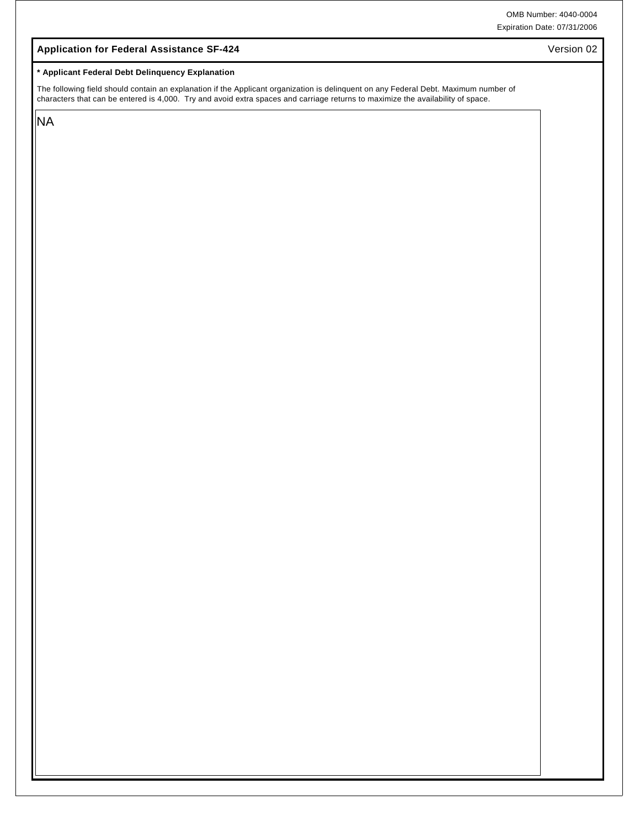#### **Application for Federal Assistance SF-424**

#### **\* Applicant Federal Debt Delinquency Explanation**

The following field should contain an explanation if the Applicant organization is delinquent on any Federal Debt. Maximum number of characters that can be entered is 4,000. Try and avoid extra spaces and carriage returns to maximize the availability of space.

NA

Version 02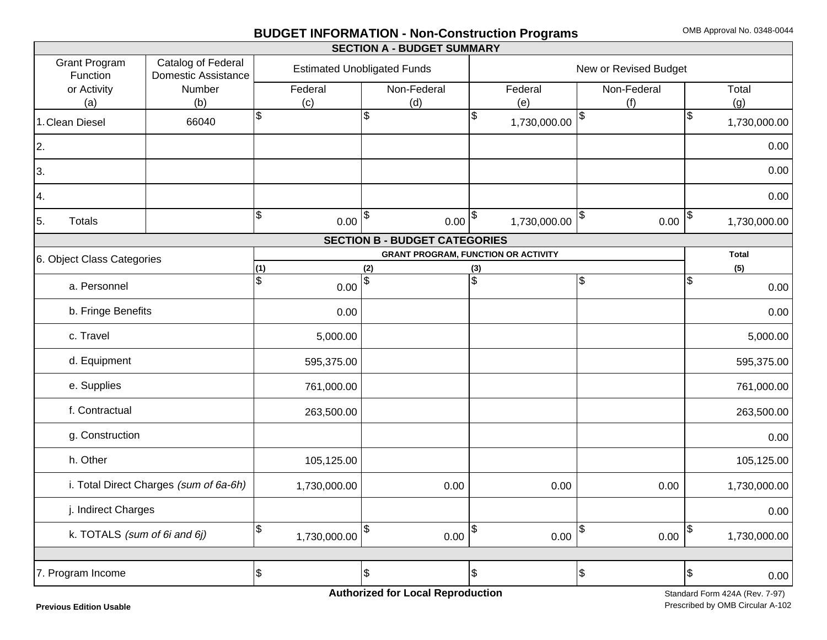# **BUDGET INFORMATION - Non-Construction Programs** OMB Approval No. 0348-0044

|                                  |                                                  |                       |                                    |     | <b>SECTION A - BUDGET SUMMARY</b>          |     |              |                     |                       |                |              |
|----------------------------------|--------------------------------------------------|-----------------------|------------------------------------|-----|--------------------------------------------|-----|--------------|---------------------|-----------------------|----------------|--------------|
| <b>Grant Program</b><br>Function | Catalog of Federal<br><b>Domestic Assistance</b> |                       | <b>Estimated Unobligated Funds</b> |     |                                            |     |              |                     | New or Revised Budget |                |              |
| or Activity                      | Number                                           |                       | Federal                            |     | Non-Federal                                |     | Federal      |                     | Non-Federal           |                | Total        |
| (a)                              | (b)                                              |                       | (c)                                |     | (d)                                        |     | (e)          |                     | (f)                   |                | (g)          |
| 1. Clean Diesel                  | 66040                                            | $\sqrt{3}$            |                                    | \$  |                                            | \$  | 1,730,000.00 | \$                  |                       | $\mathfrak{S}$ | 1,730,000.00 |
| 2.                               |                                                  |                       |                                    |     |                                            |     |              |                     |                       |                | 0.00         |
| 3.                               |                                                  |                       |                                    |     |                                            |     |              |                     |                       |                | 0.00         |
| 4.                               |                                                  |                       |                                    |     |                                            |     |              |                     |                       |                | 0.00         |
| Totals<br>5.                     |                                                  | $\sqrt{3}$            | $0.00 ^{\$}$                       |     | $0.00 ^{\$}$                               |     | 1,730,000.00 | $\big  \mathbf{\$}$ | 0.00                  | \$             | 1,730,000.00 |
|                                  |                                                  |                       |                                    |     | <b>SECTION B - BUDGET CATEGORIES</b>       |     |              |                     |                       |                |              |
| 6. Object Class Categories       |                                                  |                       |                                    |     | <b>GRANT PROGRAM, FUNCTION OR ACTIVITY</b> |     |              |                     |                       |                | Total        |
|                                  |                                                  | (1)                   |                                    | (2) |                                            | (3) |              |                     |                       |                | (5)          |
| a. Personnel                     |                                                  | $\mathfrak{S}$        | 0.00                               | \$  |                                            | \$  |              | $\frac{1}{2}$       |                       | $\mathfrak{S}$ | 0.00         |
| b. Fringe Benefits               |                                                  |                       | 0.00                               |     |                                            |     |              |                     |                       |                | 0.00         |
| c. Travel                        |                                                  |                       | 5,000.00                           |     |                                            |     |              |                     |                       |                | 5,000.00     |
| d. Equipment                     |                                                  |                       | 595,375.00                         |     |                                            |     |              |                     |                       |                | 595,375.00   |
| e. Supplies                      |                                                  |                       | 761,000.00                         |     |                                            |     |              |                     |                       |                | 761,000.00   |
| f. Contractual                   |                                                  |                       | 263,500.00                         |     |                                            |     |              |                     |                       |                | 263,500.00   |
| g. Construction                  |                                                  |                       |                                    |     |                                            |     |              |                     |                       |                | 0.00         |
| h. Other                         |                                                  |                       | 105,125.00                         |     |                                            |     |              |                     |                       |                | 105,125.00   |
|                                  | i. Total Direct Charges (sum of 6a-6h)           |                       | 1,730,000.00                       |     | 0.00                                       |     | 0.00         |                     | 0.00                  |                | 1,730,000.00 |
| j. Indirect Charges              |                                                  |                       |                                    |     |                                            |     |              |                     |                       |                | 0.00         |
| k. TOTALS (sum of 6i and 6j)     |                                                  | $\sqrt{3}$            | 1,730,000.00                       | \$  | 0.00                                       | \$  | 0.00         | \$                  | 0.00                  | \$             | 1,730,000.00 |
|                                  |                                                  |                       |                                    |     |                                            |     |              |                     |                       |                |              |
| 7. Program Income                |                                                  | $\boldsymbol{\theta}$ |                                    | \$  |                                            | \$  |              | $\frac{1}{2}$       |                       | $\frac{3}{2}$  | 0.00         |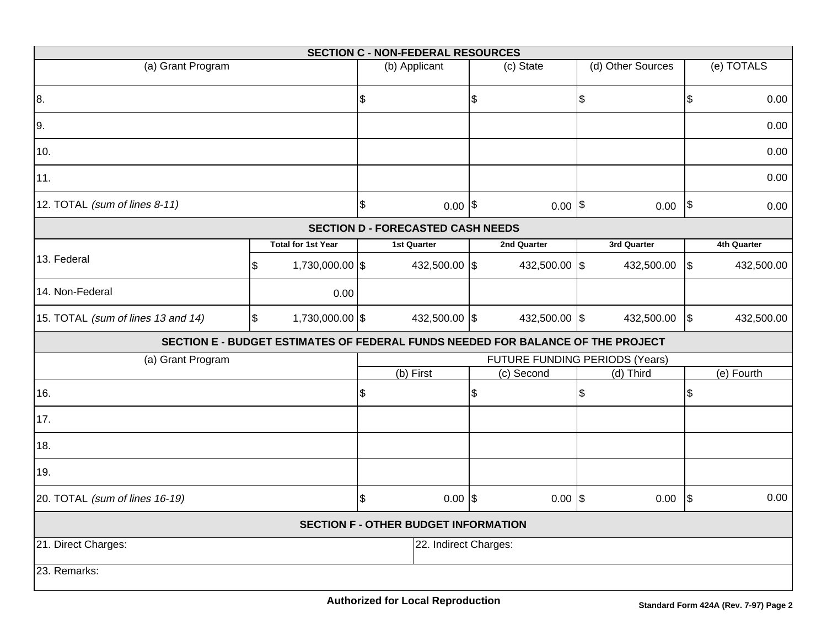|                                    |    |                           | <b>SECTION C - NON-FEDERAL RESOURCES</b>    |                           |                                                                                 |                   |               |             |
|------------------------------------|----|---------------------------|---------------------------------------------|---------------------------|---------------------------------------------------------------------------------|-------------------|---------------|-------------|
| (a) Grant Program                  |    |                           | (b) Applicant                               |                           | (c) State                                                                       | (d) Other Sources |               | (e) TOTALS  |
| 8.                                 |    |                           | \$                                          | $\boldsymbol{\mathsf{S}}$ |                                                                                 | \$                | $\frac{1}{2}$ | 0.00        |
| 9.                                 |    |                           |                                             |                           |                                                                                 |                   |               | 0.00        |
| 10.                                |    |                           |                                             |                           |                                                                                 |                   |               | 0.00        |
| 11.                                |    |                           |                                             |                           |                                                                                 |                   |               | 0.00        |
| 12. TOTAL (sum of lines 8-11)      |    |                           | \$<br>$0.00$ \$                             |                           | $0.00$  \$                                                                      | $0.00$ \$         |               | 0.00        |
|                                    |    |                           | <b>SECTION D - FORECASTED CASH NEEDS</b>    |                           |                                                                                 |                   |               |             |
|                                    |    | <b>Total for 1st Year</b> | <b>1st Quarter</b>                          |                           | 2nd Quarter                                                                     | 3rd Quarter       |               | 4th Quarter |
| 13. Federal                        | \$ | 1,730,000.00 \$           | 432,500.00 \$                               |                           | 432,500.00 \$                                                                   | 432,500.00        | $\sqrt{3}$    | 432,500.00  |
| 14. Non-Federal                    |    | 0.00                      |                                             |                           |                                                                                 |                   |               |             |
| 15. TOTAL (sum of lines 13 and 14) | \$ | 1,730,000.00 \$           | 432,500.00 \$                               |                           | 432,500.00 \$                                                                   | 432,500.00        | $\sqrt{3}$    | 432,500.00  |
|                                    |    |                           |                                             |                           | SECTION E - BUDGET ESTIMATES OF FEDERAL FUNDS NEEDED FOR BALANCE OF THE PROJECT |                   |               |             |
| (a) Grant Program                  |    |                           |                                             |                           | FUTURE FUNDING PERIODS (Years)                                                  |                   |               |             |
|                                    |    |                           | (b) First                                   |                           | (c) Second                                                                      | (d) Third         |               | (e) Fourth  |
| 16.                                |    |                           | \$                                          | \$                        |                                                                                 | \$                | \$            |             |
| 17.                                |    |                           |                                             |                           |                                                                                 |                   |               |             |
| 18.                                |    |                           |                                             |                           |                                                                                 |                   |               |             |
| 19.                                |    |                           |                                             |                           |                                                                                 |                   |               |             |
| 20. TOTAL (sum of lines 16-19)     |    |                           | \$<br>$0.00$ \\$                            |                           | $0.00$ \\$                                                                      | 0.00              | $\sqrt{3}$    | 0.00        |
|                                    |    |                           | <b>SECTION F - OTHER BUDGET INFORMATION</b> |                           |                                                                                 |                   |               |             |
| 21. Direct Charges:                |    |                           | 22. Indirect Charges:                       |                           |                                                                                 |                   |               |             |
| 23. Remarks:                       |    |                           |                                             |                           |                                                                                 |                   |               |             |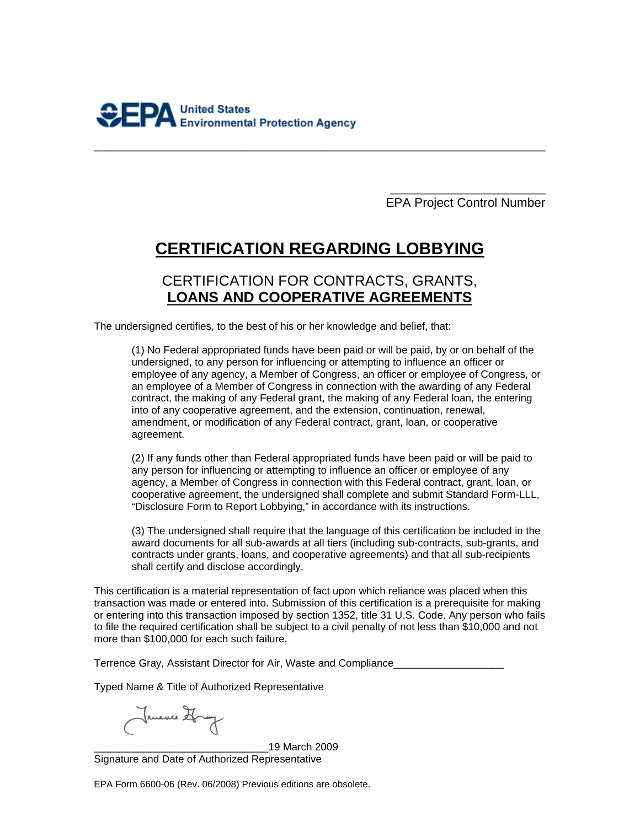**\_\_\_\_\_\_\_\_\_\_\_\_\_\_\_\_\_\_\_\_\_\_\_\_\_\_\_\_\_\_\_\_\_**  EPA Project Control Number

# **CERTIFICATION REGARDING LOBBYING**

**\_\_\_\_\_\_\_\_\_\_\_\_\_\_\_\_\_\_\_\_\_\_\_\_\_\_\_\_\_\_\_\_\_\_\_\_\_\_\_\_\_\_\_\_\_\_\_\_\_\_\_\_\_\_\_\_\_\_\_\_\_\_\_\_\_\_\_\_\_\_\_\_\_\_\_\_\_\_\_\_\_\_\_\_\_\_\_\_\_\_\_\_\_\_\_\_** 

# CERTIFICATION FOR CONTRACTS, GRANTS, **LOANS AND COOPERATIVE AGREEMENTS**

The undersigned certifies, to the best of his or her knowledge and belief, that:

(1) No Federal appropriated funds have been paid or will be paid, by or on behalf of the undersigned, to any person for influencing or attempting to influence an officer or employee of any agency, a Member of Congress, an officer or employee of Congress, or an employee of a Member of Congress in connection with the awarding of any Federal contract, the making of any Federal grant, the making of any Federal loan, the entering into of any cooperative agreement, and the extension, continuation, renewal, amendment, or modification of any Federal contract, grant, loan, or cooperative agreement.

(2) If any funds other than Federal appropriated funds have been paid or will be paid to any person for influencing or attempting to influence an officer or employee of any agency, a Member of Congress in connection with this Federal contract, grant, loan, or cooperative agreement, the undersigned shall complete and submit Standard Form-LLL, "Disclosure Form to Report Lobbying," in accordance with its instructions.

(3) The undersigned shall require that the language of this certification be included in the award documents for all sub-awards at all tiers (including sub-contracts, sub-grants, and contracts under grants, loans, and cooperative agreements) and that all sub-recipients shall certify and disclose accordingly.

This certification is a material representation of fact upon which reliance was placed when this transaction was made or entered into. Submission of this certification is a prerequisite for making or entering into this transaction imposed by section 1352, title 31 U.S. Code. Any person who fails to file the required certification shall be subject to a civil penalty of not less than \$10,000 and not more than \$100,000 for each such failure.

Terrence Gray, Assistant Director for Air, Waste and Compliance

Typed Name & Title of Authorized Representative

Jemence Hong

\_\_\_\_\_\_\_\_\_\_\_\_\_\_\_\_\_\_\_\_\_\_\_\_\_\_\_\_\_\_19 March 2009 Signature and Date of Authorized Representative

EPA Form 6600-06 (Rev. 06/2008) Previous editions are obsolete.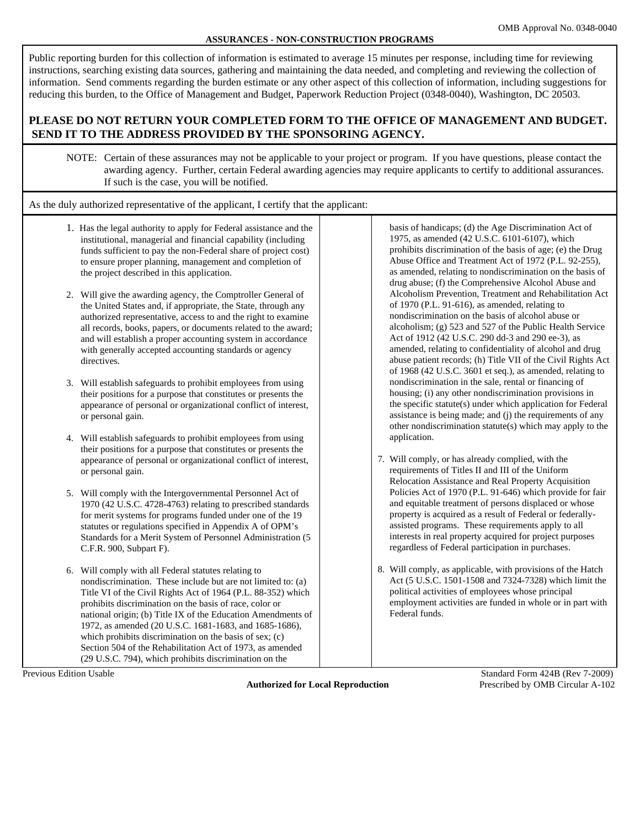#### **ASSURANCES - NON-CONSTRUCTION PROGRAMS**

Public reporting burden for this collection of information is estimated to average 15 minutes per response, including time for reviewing instructions, searching existing data sources, gathering and maintaining the data needed, and completing and reviewing the collection of information. Send comments regarding the burden estimate or any other aspect of this collection of information, including suggestions for reducing this burden, to the Office of Management and Budget, Paperwork Reduction Project (0348-0040), Washington, DC 20503.

#### **PLEASE DO NOT RETURN YOUR COMPLETED FORM TO THE OFFICE OF MANAGEMENT AND BUDGET. SEND IT TO THE ADDRESS PROVIDED BY THE SPONSORING AGENCY.**

NOTE: Certain of these assurances may not be applicable to your project or program. If you have questions, please contact the awarding agency. Further, certain Federal awarding agencies may require applicants to certify to additional assurances. If such is the case, you will be notified.

As the duly authorized representative of the applicant, I certify that the applicant:

- 1. Has the legal authority to apply for Federal assistance and the institutional, managerial and financial capability (including funds sufficient to pay the non-Federal share of project cost) to ensure proper planning, management and completion of the project described in this application.
- 2. Will give the awarding agency, the Comptroller General of the United States and, if appropriate, the State, through any authorized representative, access to and the right to examine all records, books, papers, or documents related to the award; and will establish a proper accounting system in accordance with generally accepted accounting standards or agency directives.
- 3. Will establish safeguards to prohibit employees from using their positions for a purpose that constitutes or presents the appearance of personal or organizational conflict of interest, or personal gain.
- 4. Will establish safeguards to prohibit employees from using their positions for a purpose that constitutes or presents the appearance of personal or organizational conflict of interest, or personal gain.
- 5. Will comply with the Intergovernmental Personnel Act of 1970 (42 U.S.C. 4728-4763) relating to prescribed standards for merit systems for programs funded under one of the 19 statutes or regulations specified in Appendix A of OPM's Standards for a Merit System of Personnel Administration (5 C.F.R. 900, Subpart F).
- 6. Will comply with all Federal statutes relating to nondiscrimination. These include but are not limited to: (a) Title VI of the Civil Rights Act of 1964 (P.L. 88-352) which prohibits discrimination on the basis of race, color or national origin; (b) Title IX of the Education Amendments of 1972, as amended (20 U.S.C. 1681-1683, and 1685-1686), which prohibits discrimination on the basis of sex; (c) Section 504 of the Rehabilitation Act of 1973, as amended (29 U.S.C. 794), which prohibits discrimination on the

 basis of handicaps; (d) the Age Discrimination Act of 1975, as amended (42 U.S.C. 6101-6107), which prohibits discrimination of the basis of age; (e) the Drug Abuse Office and Treatment Act of 1972 (P.L. 92-255), as amended, relating to nondiscrimination on the basis of drug abuse; (f) the Comprehensive Alcohol Abuse and Alcoholism Prevention, Treatment and Rehabilitation Act of 1970 (P.L. 91-616), as amended, relating to nondiscrimination on the basis of alcohol abuse or alcoholism; (g) 523 and 527 of the Public Health Service Act of 1912 (42 U.S.C. 290 dd-3 and 290 ee-3), as amended, relating to confidentiality of alcohol and drug abuse patient records; (h) Title VII of the Civil Rights Act of 1968 (42 U.S.C. 3601 et seq.), as amended, relating to nondiscrimination in the sale, rental or financing of housing; (i) any other nondiscrimination provisions in the specific statute(s) under which application for Federal assistance is being made; and (j) the requirements of any other nondiscrimination statute(s) which may apply to the application.

- 7. Will comply, or has already complied, with the requirements of Titles II and III of the Uniform Relocation Assistance and Real Property Acquisition Policies Act of 1970 (P.L. 91-646) which provide for fair and equitable treatment of persons displaced or whose property is acquired as a result of Federal or federally assisted programs. These requirements apply to all interests in real property acquired for project purposes regardless of Federal participation in purchases.
- 8. Will comply, as applicable, with provisions of the Hatch Act (5 U.S.C. 1501-1508 and 7324-7328) which limit the political activities of employees whose principal employment activities are funded in whole or in part with Federal funds.

**Authorized for Local Reproduction** Prescribed by OMB Circular A-102

Previous Edition Usable Standard Form 424B (Rev 7-2009)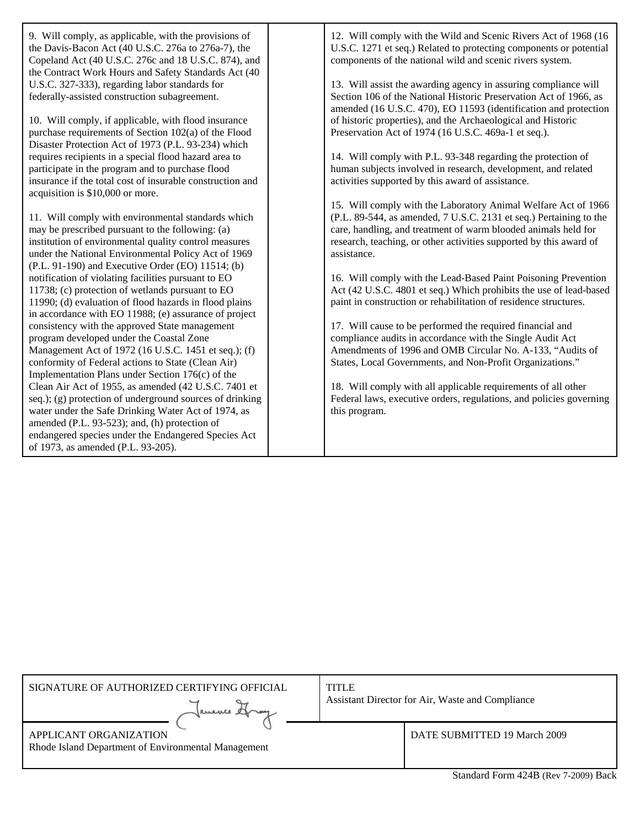9. Will comply, as applicable, with the provisions of the Davis-Bacon Act (40 U.S.C. 276a to 276a-7), the Copeland Act (40 U.S.C. 276c and 18 U.S.C. 874), and the Contract Work Hours and Safety Standards Act (40 U.S.C. 327-333), regarding labor standards for federally-assisted construction subagreement. 10. Will comply, if applicable, with flood insurance purchase requirements of Section 102(a) of the Flood Disaster Protection Act of 1973 (P.L. 93-234) which requires recipients in a special flood hazard area to participate in the program and to purchase flood insurance if the total cost of insurable construction and acquisition is \$10,000 or more. 11. Will comply with environmental standards which may be prescribed pursuant to the following: (a) institution of environmental quality control measures under the National Environmental Policy Act of 1969 (P.L. 91-190) and Executive Order (EO) 11514; (b) notification of violating facilities pursuant to EO 11738; (c) protection of wetlands pursuant to EO 11990; (d) evaluation of flood hazards in flood plains in accordance with EO 11988; (e) assurance of project consistency with the approved State management program developed under the Coastal Zone Management Act of 1972 (16 U.S.C. 1451 et seq.); (f) conformity of Federal actions to State (Clean Air) Implementation Plans under Section 176(c) of the Clean Air Act of 1955, as amended (42 U.S.C. 7401 et seq.); (g) protection of underground sources of drinking water under the Safe Drinking Water Act of 1974, as amended (P.L. 93-523); and, (h) protection of endangered species under the Endangered Species Act of 1973, as amended (P.L. 93-205). 12. Will comply with the Wild and Scenic Rivers Act of 1968 (16 U.S.C. 1271 et seq.) Related to protecting components or potential components of the national wild and scenic rivers system. 13. Will assist the awarding agency in assuring compliance will Section 106 of the National Historic Preservation Act of 1966, as amended (16 U.S.C. 470), EO 11593 (identification and protection of historic properties), and the Archaeological and Historic Preservation Act of 1974 (16 U.S.C. 469a-1 et seq.). 14. Will comply with P.L. 93-348 regarding the protection of human subjects involved in research, development, and related activities supported by this award of assistance. 15. Will comply with the Laboratory Animal Welfare Act of 1966 (P.L. 89-544, as amended, 7 U.S.C. 2131 et seq.) Pertaining to the care, handling, and treatment of warm blooded animals held for research, teaching, or other activities supported by this award of assistance. 16. Will comply with the Lead-Based Paint Poisoning Prevention Act (42 U.S.C. 4801 et seq.) Which prohibits the use of lead-based paint in construction or rehabilitation of residence structures. 17. Will cause to be performed the required financial and compliance audits in accordance with the Single Audit Act Amendments of 1996 and OMB Circular No. A-133, "Audits of States, Local Governments, and Non-Profit Organizations." 18. Will comply with all applicable requirements of all other Federal laws, executive orders, regulations, and policies governing this program.

| SIGNATURE OF AUTHORIZED CERTIFYING OFFICIAL<br>evence                         | <b>TITLE</b> | Assistant Director for Air, Waste and Compliance |  |
|-------------------------------------------------------------------------------|--------------|--------------------------------------------------|--|
| APPLICANT ORGANIZATION<br>Rhode Island Department of Environmental Management |              | DATE SUBMITTED 19 March 2009                     |  |